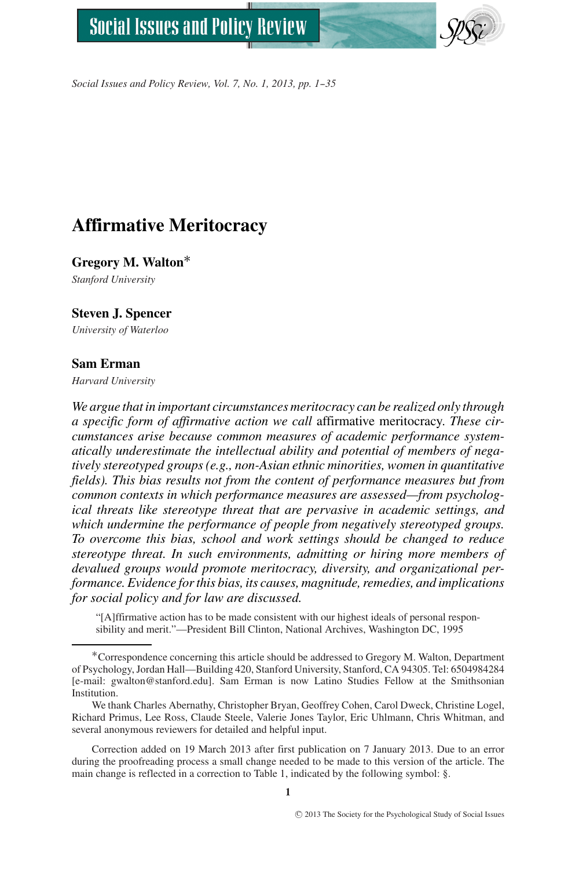

*Social Issues and Policy Review, Vol. 7, No. 1, 2013, pp. 1--35*

# **Affirmative Meritocracy**

**Gregory M. Walton**∗ *Stanford University*

# **Steven J. Spencer**

*University of Waterloo*

# **Sam Erman**

*Harvard University*

*We argue that in important circumstances meritocracy can be realized only through a specific form of affirmative action we call* affirmative meritocracy. *These circumstances arise because common measures of academic performance systematically underestimate the intellectual ability and potential of members of negatively stereotyped groups (e.g., non-Asian ethnic minorities, women in quantitative fields). This bias results not from the content of performance measures but from common contexts in which performance measures are assessed—from psychological threats like stereotype threat that are pervasive in academic settings, and which undermine the performance of people from negatively stereotyped groups. To overcome this bias, school and work settings should be changed to reduce stereotype threat. In such environments, admitting or hiring more members of devalued groups would promote meritocracy, diversity, and organizational performance. Evidence for this bias, its causes, magnitude, remedies, and implications for social policy and for law are discussed.*

"[A]ffirmative action has to be made consistent with our highest ideals of personal responsibility and merit."—President Bill Clinton, National Archives, Washington DC, 1995

<sup>∗</sup>Correspondence concerning this article should be addressed to Gregory M. Walton, Department of Psychology, Jordan Hall—Building 420, Stanford University, Stanford, CA 94305. Tel: 6504984284 [e-mail: gwalton@stanford.edu]. Sam Erman is now Latino Studies Fellow at the Smithsonian Institution.

We thank Charles Abernathy, Christopher Bryan, Geoffrey Cohen, Carol Dweck, Christine Logel, Richard Primus, Lee Ross, Claude Steele, Valerie Jones Taylor, Eric Uhlmann, Chris Whitman, and several anonymous reviewers for detailed and helpful input.

Correction added on 19 March 2013 after first publication on 7 January 2013. Due to an error during the proofreading process a small change needed to be made to this version of the article. The main change is reflected in a correction to Table 1, indicated by the following symbol: §.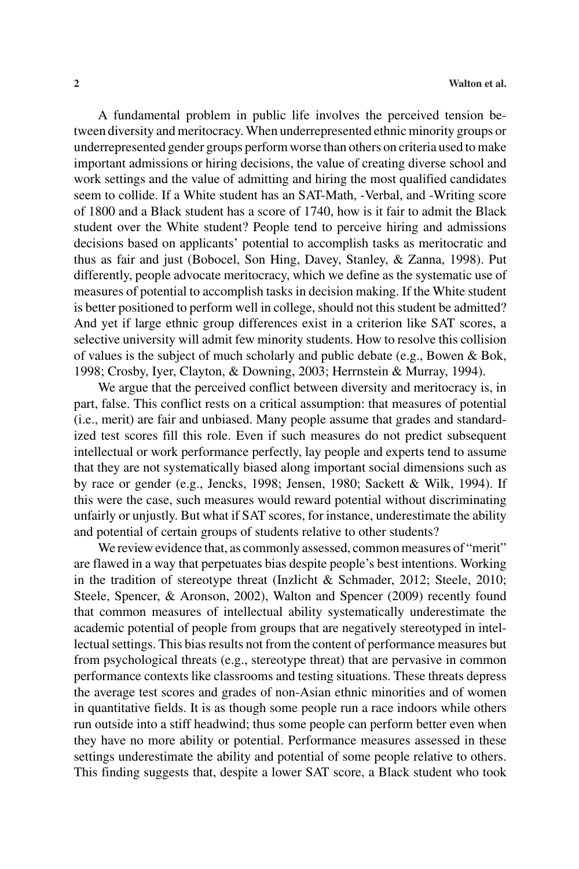A fundamental problem in public life involves the perceived tension between diversity and meritocracy. When underrepresented ethnic minority groups or underrepresented gender groups perform worse than others on criteria used to make important admissions or hiring decisions, the value of creating diverse school and work settings and the value of admitting and hiring the most qualified candidates seem to collide. If a White student has an SAT-Math, -Verbal, and -Writing score of 1800 and a Black student has a score of 1740, how is it fair to admit the Black student over the White student? People tend to perceive hiring and admissions decisions based on applicants' potential to accomplish tasks as meritocratic and thus as fair and just (Bobocel, Son Hing, Davey, Stanley, & Zanna, 1998). Put differently, people advocate meritocracy, which we define as the systematic use of measures of potential to accomplish tasks in decision making. If the White student is better positioned to perform well in college, should not this student be admitted? And yet if large ethnic group differences exist in a criterion like SAT scores, a selective university will admit few minority students. How to resolve this collision of values is the subject of much scholarly and public debate (e.g., Bowen & Bok, 1998; Crosby, Iyer, Clayton, & Downing, 2003; Herrnstein & Murray, 1994).

We argue that the perceived conflict between diversity and meritocracy is, in part, false. This conflict rests on a critical assumption: that measures of potential (i.e., merit) are fair and unbiased. Many people assume that grades and standardized test scores fill this role. Even if such measures do not predict subsequent intellectual or work performance perfectly, lay people and experts tend to assume that they are not systematically biased along important social dimensions such as by race or gender (e.g., Jencks, 1998; Jensen, 1980; Sackett & Wilk, 1994). If this were the case, such measures would reward potential without discriminating unfairly or unjustly. But what if SAT scores, for instance, underestimate the ability and potential of certain groups of students relative to other students?

We review evidence that, as commonly assessed, common measures of "merit" are flawed in a way that perpetuates bias despite people's best intentions. Working in the tradition of stereotype threat (Inzlicht & Schmader, 2012; Steele, 2010; Steele, Spencer, & Aronson, 2002), Walton and Spencer (2009) recently found that common measures of intellectual ability systematically underestimate the academic potential of people from groups that are negatively stereotyped in intellectual settings. This bias results not from the content of performance measures but from psychological threats (e.g., stereotype threat) that are pervasive in common performance contexts like classrooms and testing situations. These threats depress the average test scores and grades of non-Asian ethnic minorities and of women in quantitative fields. It is as though some people run a race indoors while others run outside into a stiff headwind; thus some people can perform better even when they have no more ability or potential. Performance measures assessed in these settings underestimate the ability and potential of some people relative to others. This finding suggests that, despite a lower SAT score, a Black student who took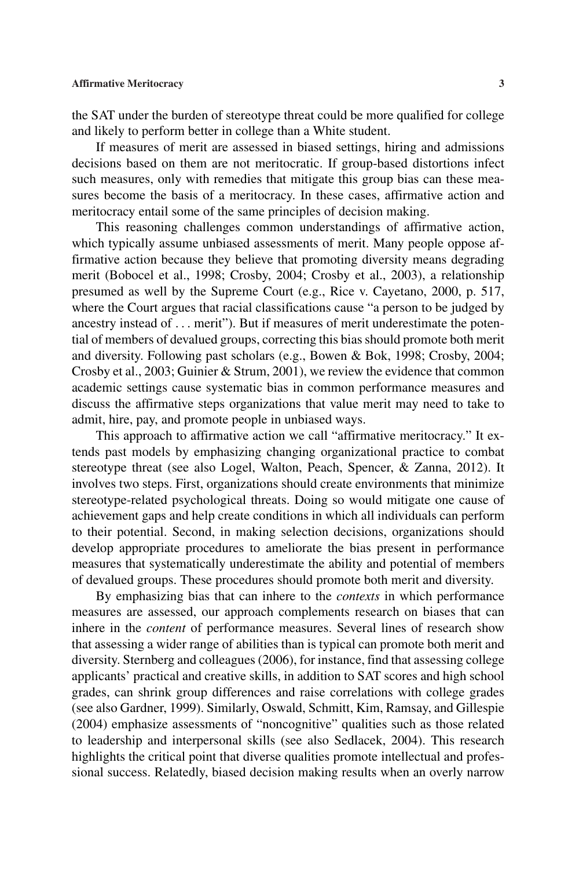the SAT under the burden of stereotype threat could be more qualified for college and likely to perform better in college than a White student.

If measures of merit are assessed in biased settings, hiring and admissions decisions based on them are not meritocratic. If group-based distortions infect such measures, only with remedies that mitigate this group bias can these measures become the basis of a meritocracy. In these cases, affirmative action and meritocracy entail some of the same principles of decision making.

This reasoning challenges common understandings of affirmative action, which typically assume unbiased assessments of merit. Many people oppose affirmative action because they believe that promoting diversity means degrading merit (Bobocel et al., 1998; Crosby, 2004; Crosby et al., 2003), a relationship presumed as well by the Supreme Court (e.g., Rice v. Cayetano, 2000, p. 517, where the Court argues that racial classifications cause "a person to be judged by ancestry instead of *...* merit"). But if measures of merit underestimate the potential of members of devalued groups, correcting this bias should promote both merit and diversity. Following past scholars (e.g., Bowen & Bok, 1998; Crosby, 2004; Crosby et al., 2003; Guinier & Strum, 2001), we review the evidence that common academic settings cause systematic bias in common performance measures and discuss the affirmative steps organizations that value merit may need to take to admit, hire, pay, and promote people in unbiased ways.

This approach to affirmative action we call "affirmative meritocracy." It extends past models by emphasizing changing organizational practice to combat stereotype threat (see also Logel, Walton, Peach, Spencer, & Zanna, 2012). It involves two steps. First, organizations should create environments that minimize stereotype-related psychological threats. Doing so would mitigate one cause of achievement gaps and help create conditions in which all individuals can perform to their potential. Second, in making selection decisions, organizations should develop appropriate procedures to ameliorate the bias present in performance measures that systematically underestimate the ability and potential of members of devalued groups. These procedures should promote both merit and diversity.

By emphasizing bias that can inhere to the *contexts* in which performance measures are assessed, our approach complements research on biases that can inhere in the *content* of performance measures. Several lines of research show that assessing a wider range of abilities than is typical can promote both merit and diversity. Sternberg and colleagues (2006), for instance, find that assessing college applicants' practical and creative skills, in addition to SAT scores and high school grades, can shrink group differences and raise correlations with college grades (see also Gardner, 1999). Similarly, Oswald, Schmitt, Kim, Ramsay, and Gillespie (2004) emphasize assessments of "noncognitive" qualities such as those related to leadership and interpersonal skills (see also Sedlacek, 2004). This research highlights the critical point that diverse qualities promote intellectual and professional success. Relatedly, biased decision making results when an overly narrow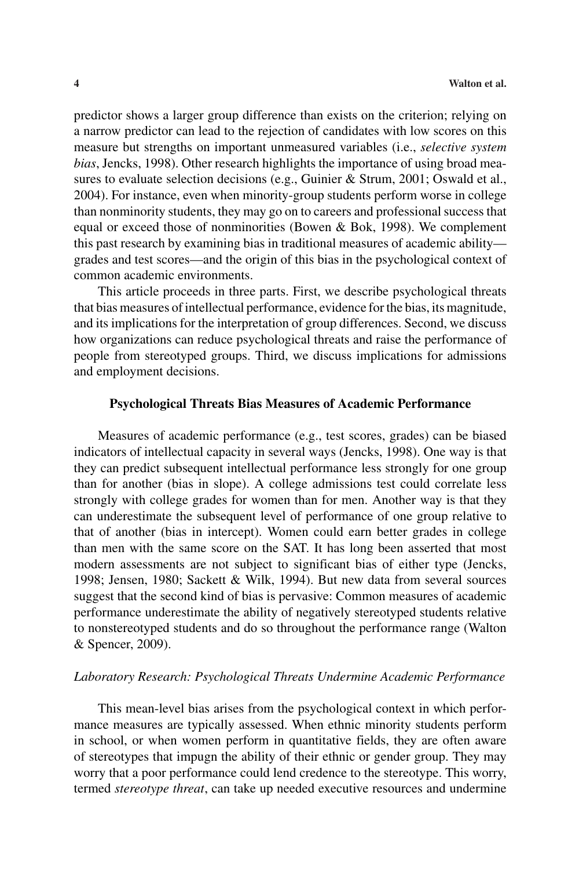predictor shows a larger group difference than exists on the criterion; relying on a narrow predictor can lead to the rejection of candidates with low scores on this measure but strengths on important unmeasured variables (i.e., *selective system bias*, Jencks, 1998). Other research highlights the importance of using broad measures to evaluate selection decisions (e.g., Guinier & Strum, 2001; Oswald et al., 2004). For instance, even when minority-group students perform worse in college than nonminority students, they may go on to careers and professional success that equal or exceed those of nonminorities (Bowen & Bok, 1998). We complement this past research by examining bias in traditional measures of academic ability grades and test scores—and the origin of this bias in the psychological context of common academic environments.

This article proceeds in three parts. First, we describe psychological threats that bias measures of intellectual performance, evidence for the bias, its magnitude, and its implications for the interpretation of group differences. Second, we discuss how organizations can reduce psychological threats and raise the performance of people from stereotyped groups. Third, we discuss implications for admissions and employment decisions.

### **Psychological Threats Bias Measures of Academic Performance**

Measures of academic performance (e.g., test scores, grades) can be biased indicators of intellectual capacity in several ways (Jencks, 1998). One way is that they can predict subsequent intellectual performance less strongly for one group than for another (bias in slope). A college admissions test could correlate less strongly with college grades for women than for men. Another way is that they can underestimate the subsequent level of performance of one group relative to that of another (bias in intercept). Women could earn better grades in college than men with the same score on the SAT. It has long been asserted that most modern assessments are not subject to significant bias of either type (Jencks, 1998; Jensen, 1980; Sackett & Wilk, 1994). But new data from several sources suggest that the second kind of bias is pervasive: Common measures of academic performance underestimate the ability of negatively stereotyped students relative to nonstereotyped students and do so throughout the performance range (Walton & Spencer, 2009).

# *Laboratory Research: Psychological Threats Undermine Academic Performance*

This mean-level bias arises from the psychological context in which performance measures are typically assessed. When ethnic minority students perform in school, or when women perform in quantitative fields, they are often aware of stereotypes that impugn the ability of their ethnic or gender group. They may worry that a poor performance could lend credence to the stereotype. This worry, termed *stereotype threat*, can take up needed executive resources and undermine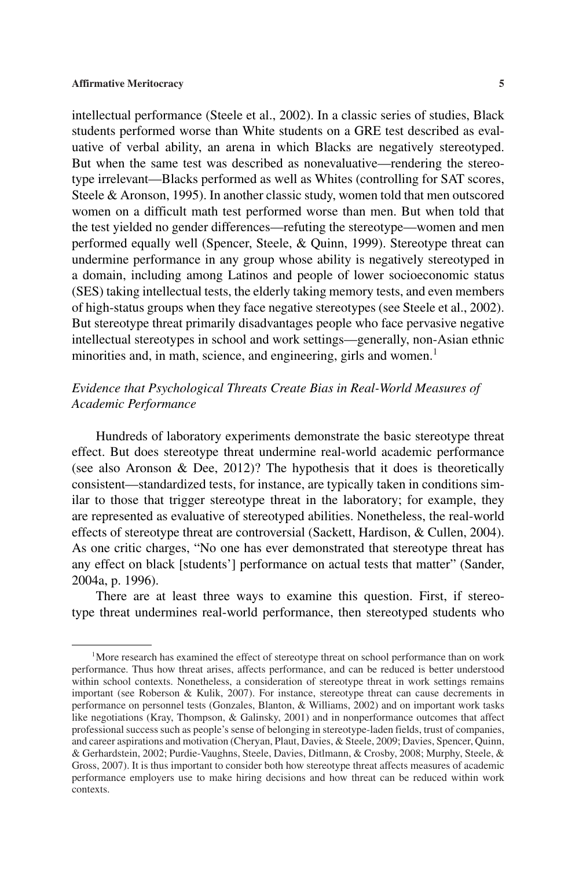intellectual performance (Steele et al., 2002). In a classic series of studies, Black students performed worse than White students on a GRE test described as evaluative of verbal ability, an arena in which Blacks are negatively stereotyped. But when the same test was described as nonevaluative—rendering the stereotype irrelevant—Blacks performed as well as Whites (controlling for SAT scores, Steele & Aronson, 1995). In another classic study, women told that men outscored women on a difficult math test performed worse than men. But when told that the test yielded no gender differences—refuting the stereotype—women and men performed equally well (Spencer, Steele, & Quinn, 1999). Stereotype threat can undermine performance in any group whose ability is negatively stereotyped in a domain, including among Latinos and people of lower socioeconomic status (SES) taking intellectual tests, the elderly taking memory tests, and even members of high-status groups when they face negative stereotypes (see Steele et al., 2002). But stereotype threat primarily disadvantages people who face pervasive negative intellectual stereotypes in school and work settings—generally, non-Asian ethnic minorities and, in math, science, and engineering, girls and women.<sup>1</sup>

# *Evidence that Psychological Threats Create Bias in Real-World Measures of Academic Performance*

Hundreds of laboratory experiments demonstrate the basic stereotype threat effect. But does stereotype threat undermine real-world academic performance (see also Aronson & Dee, 2012)? The hypothesis that it does is theoretically consistent—standardized tests, for instance, are typically taken in conditions similar to those that trigger stereotype threat in the laboratory; for example, they are represented as evaluative of stereotyped abilities. Nonetheless, the real-world effects of stereotype threat are controversial (Sackett, Hardison, & Cullen, 2004). As one critic charges, "No one has ever demonstrated that stereotype threat has any effect on black [students'] performance on actual tests that matter" (Sander, 2004a, p. 1996).

There are at least three ways to examine this question. First, if stereotype threat undermines real-world performance, then stereotyped students who

<sup>&</sup>lt;sup>1</sup>More research has examined the effect of stereotype threat on school performance than on work performance. Thus how threat arises, affects performance, and can be reduced is better understood within school contexts. Nonetheless, a consideration of stereotype threat in work settings remains important (see Roberson & Kulik, 2007). For instance, stereotype threat can cause decrements in performance on personnel tests (Gonzales, Blanton, & Williams, 2002) and on important work tasks like negotiations (Kray, Thompson, & Galinsky, 2001) and in nonperformance outcomes that affect professional success such as people's sense of belonging in stereotype-laden fields, trust of companies, and career aspirations and motivation (Cheryan, Plaut, Davies, & Steele, 2009; Davies, Spencer, Quinn, & Gerhardstein, 2002; Purdie-Vaughns, Steele, Davies, Ditlmann, & Crosby, 2008; Murphy, Steele, & Gross, 2007). It is thus important to consider both how stereotype threat affects measures of academic performance employers use to make hiring decisions and how threat can be reduced within work contexts.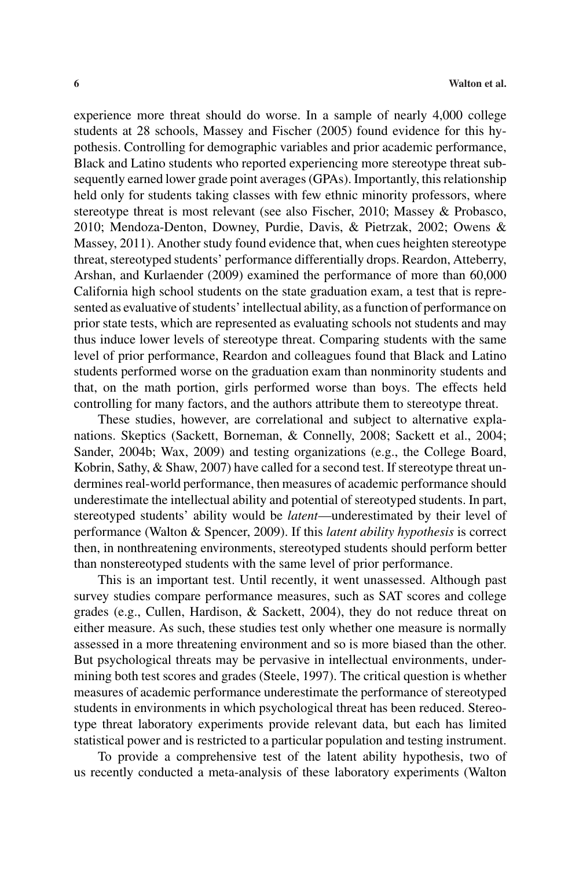experience more threat should do worse. In a sample of nearly 4,000 college students at 28 schools, Massey and Fischer (2005) found evidence for this hypothesis. Controlling for demographic variables and prior academic performance, Black and Latino students who reported experiencing more stereotype threat subsequently earned lower grade point averages (GPAs). Importantly, this relationship held only for students taking classes with few ethnic minority professors, where stereotype threat is most relevant (see also Fischer, 2010; Massey & Probasco, 2010; Mendoza-Denton, Downey, Purdie, Davis, & Pietrzak, 2002; Owens & Massey, 2011). Another study found evidence that, when cues heighten stereotype threat, stereotyped students' performance differentially drops. Reardon, Atteberry, Arshan, and Kurlaender (2009) examined the performance of more than 60,000 California high school students on the state graduation exam, a test that is represented as evaluative of students' intellectual ability, as a function of performance on prior state tests, which are represented as evaluating schools not students and may thus induce lower levels of stereotype threat. Comparing students with the same level of prior performance, Reardon and colleagues found that Black and Latino students performed worse on the graduation exam than nonminority students and that, on the math portion, girls performed worse than boys. The effects held controlling for many factors, and the authors attribute them to stereotype threat.

These studies, however, are correlational and subject to alternative explanations. Skeptics (Sackett, Borneman, & Connelly, 2008; Sackett et al., 2004; Sander, 2004b; Wax, 2009) and testing organizations (e.g., the College Board, Kobrin, Sathy, & Shaw, 2007) have called for a second test. If stereotype threat undermines real-world performance, then measures of academic performance should underestimate the intellectual ability and potential of stereotyped students. In part, stereotyped students' ability would be *latent*—underestimated by their level of performance (Walton & Spencer, 2009). If this *latent ability hypothesis* is correct then, in nonthreatening environments, stereotyped students should perform better than nonstereotyped students with the same level of prior performance.

This is an important test. Until recently, it went unassessed. Although past survey studies compare performance measures, such as SAT scores and college grades (e.g., Cullen, Hardison,  $\&$  Sackett, 2004), they do not reduce threat on either measure. As such, these studies test only whether one measure is normally assessed in a more threatening environment and so is more biased than the other. But psychological threats may be pervasive in intellectual environments, undermining both test scores and grades (Steele, 1997). The critical question is whether measures of academic performance underestimate the performance of stereotyped students in environments in which psychological threat has been reduced. Stereotype threat laboratory experiments provide relevant data, but each has limited statistical power and is restricted to a particular population and testing instrument.

To provide a comprehensive test of the latent ability hypothesis, two of us recently conducted a meta-analysis of these laboratory experiments (Walton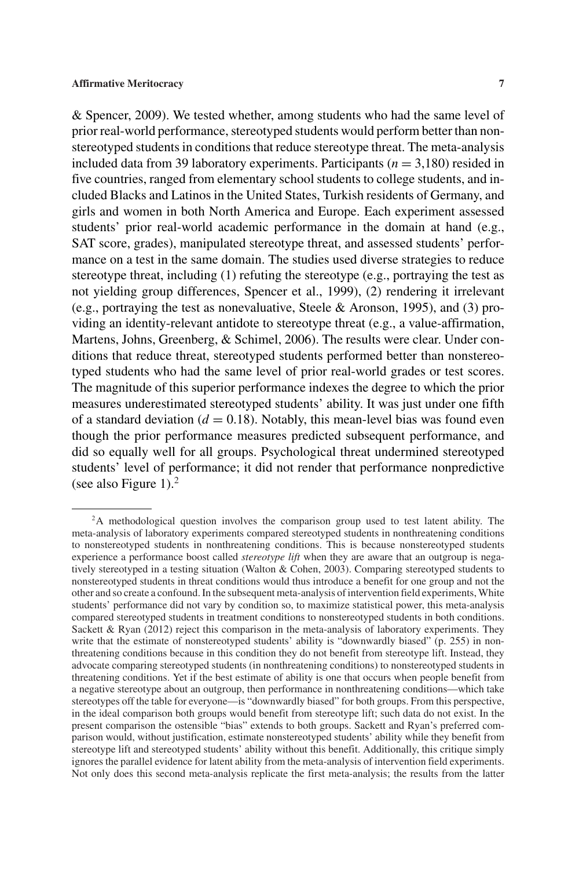& Spencer, 2009). We tested whether, among students who had the same level of prior real-world performance, stereotyped students would perform better than nonstereotyped students in conditions that reduce stereotype threat. The meta-analysis included data from 39 laboratory experiments. Participants  $(n = 3,180)$  resided in five countries, ranged from elementary school students to college students, and included Blacks and Latinos in the United States, Turkish residents of Germany, and girls and women in both North America and Europe. Each experiment assessed students' prior real-world academic performance in the domain at hand (e.g., SAT score, grades), manipulated stereotype threat, and assessed students' performance on a test in the same domain. The studies used diverse strategies to reduce stereotype threat, including (1) refuting the stereotype (e.g., portraying the test as not yielding group differences, Spencer et al., 1999), (2) rendering it irrelevant (e.g., portraying the test as nonevaluative, Steele & Aronson, 1995), and (3) providing an identity-relevant antidote to stereotype threat (e.g., a value-affirmation, Martens, Johns, Greenberg, & Schimel, 2006). The results were clear. Under conditions that reduce threat, stereotyped students performed better than nonstereotyped students who had the same level of prior real-world grades or test scores. The magnitude of this superior performance indexes the degree to which the prior measures underestimated stereotyped students' ability. It was just under one fifth of a standard deviation  $(d = 0.18)$ . Notably, this mean-level bias was found even though the prior performance measures predicted subsequent performance, and did so equally well for all groups. Psychological threat undermined stereotyped students' level of performance; it did not render that performance nonpredictive (see also Figure 1). $<sup>2</sup>$ </sup>

<sup>&</sup>lt;sup>2</sup>A methodological question involves the comparison group used to test latent ability. The meta-analysis of laboratory experiments compared stereotyped students in nonthreatening conditions to nonstereotyped students in nonthreatening conditions. This is because nonstereotyped students experience a performance boost called *stereotype lift* when they are aware that an outgroup is negatively stereotyped in a testing situation (Walton & Cohen, 2003). Comparing stereotyped students to nonstereotyped students in threat conditions would thus introduce a benefit for one group and not the other and so create a confound. In the subsequent meta-analysis of intervention field experiments, White students' performance did not vary by condition so, to maximize statistical power, this meta-analysis compared stereotyped students in treatment conditions to nonstereotyped students in both conditions. Sackett & Ryan (2012) reject this comparison in the meta-analysis of laboratory experiments. They write that the estimate of nonstereotyped students' ability is "downwardly biased" (p. 255) in nonthreatening conditions because in this condition they do not benefit from stereotype lift. Instead, they advocate comparing stereotyped students (in nonthreatening conditions) to nonstereotyped students in threatening conditions. Yet if the best estimate of ability is one that occurs when people benefit from a negative stereotype about an outgroup, then performance in nonthreatening conditions—which take stereotypes off the table for everyone—is "downwardly biased" for both groups. From this perspective, in the ideal comparison both groups would benefit from stereotype lift; such data do not exist. In the present comparison the ostensible "bias" extends to both groups. Sackett and Ryan's preferred comparison would, without justification, estimate nonstereotyped students' ability while they benefit from stereotype lift and stereotyped students' ability without this benefit. Additionally, this critique simply ignores the parallel evidence for latent ability from the meta-analysis of intervention field experiments. Not only does this second meta-analysis replicate the first meta-analysis; the results from the latter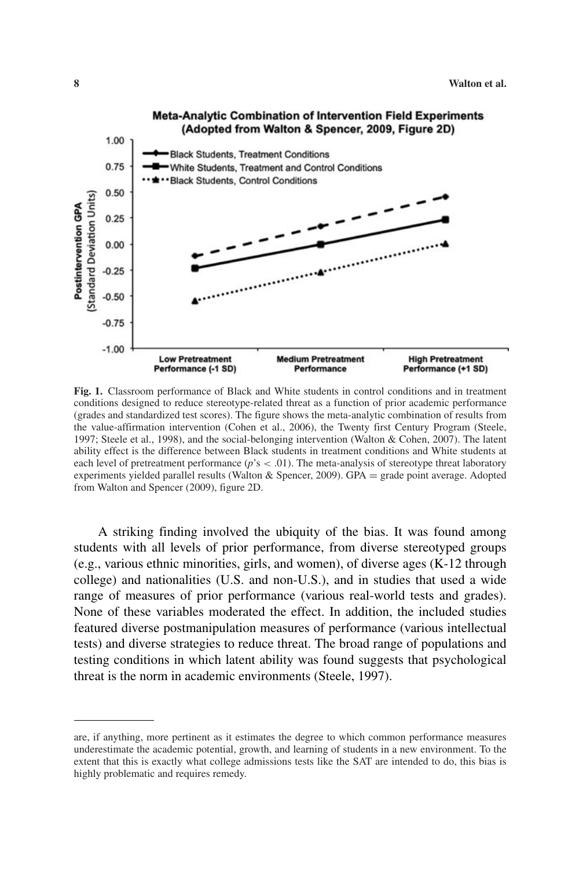

**Fig. 1.** Classroom performance of Black and White students in control conditions and in treatment conditions designed to reduce stereotype-related threat as a function of prior academic performance (grades and standardized test scores). The figure shows the meta-analytic combination of results from the value-affirmation intervention (Cohen et al., 2006), the Twenty first Century Program (Steele, 1997; Steele et al., 1998), and the social-belonging intervention (Walton & Cohen, 2007). The latent ability effect is the difference between Black students in treatment conditions and White students at each level of pretreatment performance (*p*'s *<* .01). The meta-analysis of stereotype threat laboratory experiments yielded parallel results (Walton & Spencer, 2009). GPA = grade point average. Adopted from Walton and Spencer (2009), figure 2D.

A striking finding involved the ubiquity of the bias. It was found among students with all levels of prior performance, from diverse stereotyped groups (e.g., various ethnic minorities, girls, and women), of diverse ages (K-12 through college) and nationalities (U.S. and non-U.S.), and in studies that used a wide range of measures of prior performance (various real-world tests and grades). None of these variables moderated the effect. In addition, the included studies featured diverse postmanipulation measures of performance (various intellectual tests) and diverse strategies to reduce threat. The broad range of populations and testing conditions in which latent ability was found suggests that psychological threat is the norm in academic environments (Steele, 1997).

are, if anything, more pertinent as it estimates the degree to which common performance measures underestimate the academic potential, growth, and learning of students in a new environment. To the extent that this is exactly what college admissions tests like the SAT are intended to do, this bias is highly problematic and requires remedy.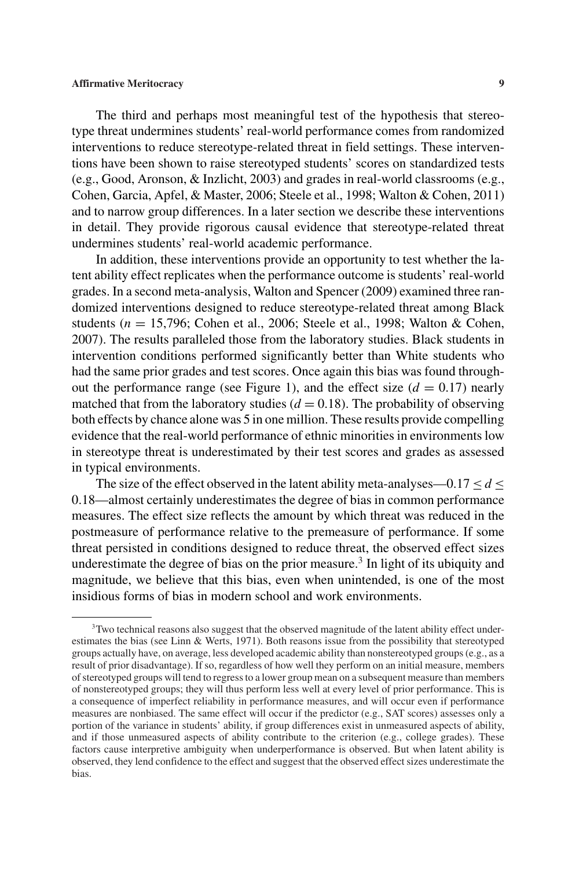The third and perhaps most meaningful test of the hypothesis that stereotype threat undermines students' real-world performance comes from randomized interventions to reduce stereotype-related threat in field settings. These interventions have been shown to raise stereotyped students' scores on standardized tests (e.g., Good, Aronson, & Inzlicht, 2003) and grades in real-world classrooms (e.g., Cohen, Garcia, Apfel, & Master, 2006; Steele et al., 1998; Walton & Cohen, 2011) and to narrow group differences. In a later section we describe these interventions in detail. They provide rigorous causal evidence that stereotype-related threat undermines students' real-world academic performance.

In addition, these interventions provide an opportunity to test whether the latent ability effect replicates when the performance outcome is students' real-world grades. In a second meta-analysis, Walton and Spencer (2009) examined three randomized interventions designed to reduce stereotype-related threat among Black students (*n* = 15,796; Cohen et al., 2006; Steele et al., 1998; Walton & Cohen, 2007). The results paralleled those from the laboratory studies. Black students in intervention conditions performed significantly better than White students who had the same prior grades and test scores. Once again this bias was found throughout the performance range (see Figure 1), and the effect size  $(d = 0.17)$  nearly matched that from the laboratory studies  $(d = 0.18)$ . The probability of observing both effects by chance alone was 5 in one million. These results provide compelling evidence that the real-world performance of ethnic minorities in environments low in stereotype threat is underestimated by their test scores and grades as assessed in typical environments.

The size of the effect observed in the latent ability meta-analyses—0.17  $\leq d \leq$ 0.18—almost certainly underestimates the degree of bias in common performance measures. The effect size reflects the amount by which threat was reduced in the postmeasure of performance relative to the premeasure of performance. If some threat persisted in conditions designed to reduce threat, the observed effect sizes underestimate the degree of bias on the prior measure.<sup>3</sup> In light of its ubiquity and magnitude, we believe that this bias, even when unintended, is one of the most insidious forms of bias in modern school and work environments.

<sup>&</sup>lt;sup>3</sup>Two technical reasons also suggest that the observed magnitude of the latent ability effect underestimates the bias (see Linn & Werts, 1971). Both reasons issue from the possibility that stereotyped groups actually have, on average, less developed academic ability than nonstereotyped groups (e.g., as a result of prior disadvantage). If so, regardless of how well they perform on an initial measure, members of stereotyped groups will tend to regress to a lower group mean on a subsequent measure than members of nonstereotyped groups; they will thus perform less well at every level of prior performance. This is a consequence of imperfect reliability in performance measures, and will occur even if performance measures are nonbiased. The same effect will occur if the predictor (e.g., SAT scores) assesses only a portion of the variance in students' ability, if group differences exist in unmeasured aspects of ability, and if those unmeasured aspects of ability contribute to the criterion (e.g., college grades). These factors cause interpretive ambiguity when underperformance is observed. But when latent ability is observed, they lend confidence to the effect and suggest that the observed effect sizes underestimate the bias.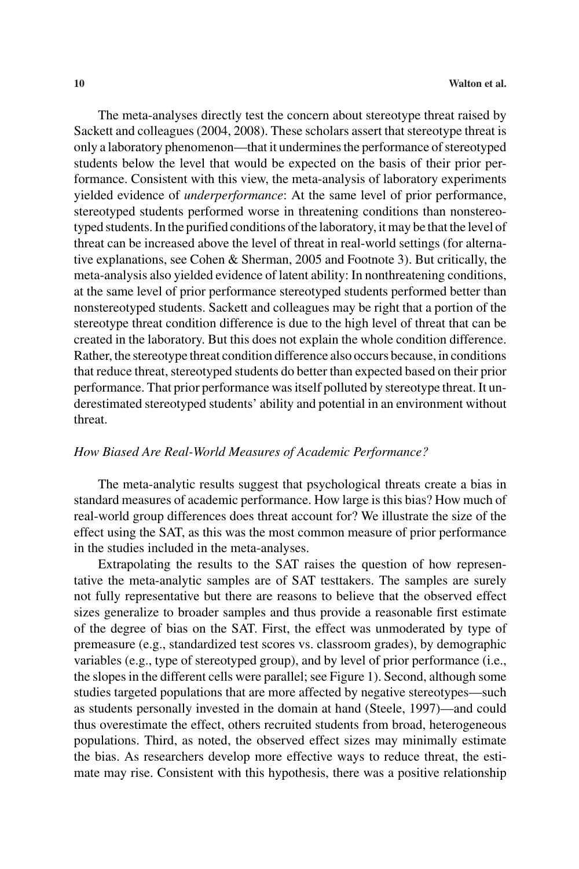The meta-analyses directly test the concern about stereotype threat raised by Sackett and colleagues (2004, 2008). These scholars assert that stereotype threat is only a laboratory phenomenon—that it undermines the performance of stereotyped students below the level that would be expected on the basis of their prior performance. Consistent with this view, the meta-analysis of laboratory experiments yielded evidence of *underperformance*: At the same level of prior performance, stereotyped students performed worse in threatening conditions than nonstereotyped students. In the purified conditions of the laboratory, it may be that the level of threat can be increased above the level of threat in real-world settings (for alternative explanations, see Cohen & Sherman, 2005 and Footnote 3). But critically, the meta-analysis also yielded evidence of latent ability: In nonthreatening conditions, at the same level of prior performance stereotyped students performed better than nonstereotyped students. Sackett and colleagues may be right that a portion of the stereotype threat condition difference is due to the high level of threat that can be created in the laboratory. But this does not explain the whole condition difference. Rather, the stereotype threat condition difference also occurs because, in conditions that reduce threat, stereotyped students do better than expected based on their prior performance. That prior performance was itself polluted by stereotype threat. It underestimated stereotyped students' ability and potential in an environment without threat.

# *How Biased Are Real-World Measures of Academic Performance?*

The meta-analytic results suggest that psychological threats create a bias in standard measures of academic performance. How large is this bias? How much of real-world group differences does threat account for? We illustrate the size of the effect using the SAT, as this was the most common measure of prior performance in the studies included in the meta-analyses.

Extrapolating the results to the SAT raises the question of how representative the meta-analytic samples are of SAT testtakers. The samples are surely not fully representative but there are reasons to believe that the observed effect sizes generalize to broader samples and thus provide a reasonable first estimate of the degree of bias on the SAT. First, the effect was unmoderated by type of premeasure (e.g., standardized test scores vs. classroom grades), by demographic variables (e.g., type of stereotyped group), and by level of prior performance (i.e., the slopes in the different cells were parallel; see Figure 1). Second, although some studies targeted populations that are more affected by negative stereotypes—such as students personally invested in the domain at hand (Steele, 1997)—and could thus overestimate the effect, others recruited students from broad, heterogeneous populations. Third, as noted, the observed effect sizes may minimally estimate the bias. As researchers develop more effective ways to reduce threat, the estimate may rise. Consistent with this hypothesis, there was a positive relationship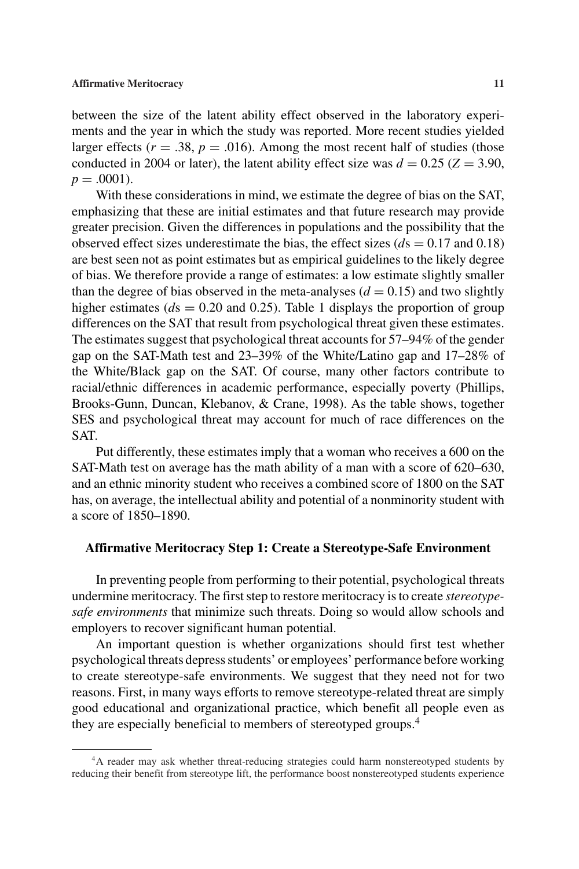between the size of the latent ability effect observed in the laboratory experiments and the year in which the study was reported. More recent studies yielded larger effects ( $r = .38$ ,  $p = .016$ ). Among the most recent half of studies (those conducted in 2004 or later), the latent ability effect size was  $d = 0.25$  ( $Z = 3.90$ ,  $p = .0001$ .

With these considerations in mind, we estimate the degree of bias on the SAT, emphasizing that these are initial estimates and that future research may provide greater precision. Given the differences in populations and the possibility that the observed effect sizes underestimate the bias, the effect sizes  $(ds = 0.17$  and  $0.18)$ are best seen not as point estimates but as empirical guidelines to the likely degree of bias. We therefore provide a range of estimates: a low estimate slightly smaller than the degree of bias observed in the meta-analyses  $(d = 0.15)$  and two slightly higher estimates ( $ds = 0.20$  and 0.25). Table 1 displays the proportion of group differences on the SAT that result from psychological threat given these estimates. The estimates suggest that psychological threat accounts for 57–94% of the gender gap on the SAT-Math test and 23–39% of the White/Latino gap and 17–28% of the White/Black gap on the SAT. Of course, many other factors contribute to racial/ethnic differences in academic performance, especially poverty (Phillips, Brooks-Gunn, Duncan, Klebanov, & Crane, 1998). As the table shows, together SES and psychological threat may account for much of race differences on the SAT.

Put differently, these estimates imply that a woman who receives a 600 on the SAT-Math test on average has the math ability of a man with a score of 620–630, and an ethnic minority student who receives a combined score of 1800 on the SAT has, on average, the intellectual ability and potential of a nonminority student with a score of 1850–1890.

### **Affirmative Meritocracy Step 1: Create a Stereotype-Safe Environment**

In preventing people from performing to their potential, psychological threats undermine meritocracy. The first step to restore meritocracy is to create *stereotypesafe environments* that minimize such threats. Doing so would allow schools and employers to recover significant human potential.

An important question is whether organizations should first test whether psychological threats depress students' or employees' performance before working to create stereotype-safe environments. We suggest that they need not for two reasons. First, in many ways efforts to remove stereotype-related threat are simply good educational and organizational practice, which benefit all people even as they are especially beneficial to members of stereotyped groups.<sup>4</sup>

<sup>4</sup>A reader may ask whether threat-reducing strategies could harm nonstereotyped students by reducing their benefit from stereotype lift, the performance boost nonstereotyped students experience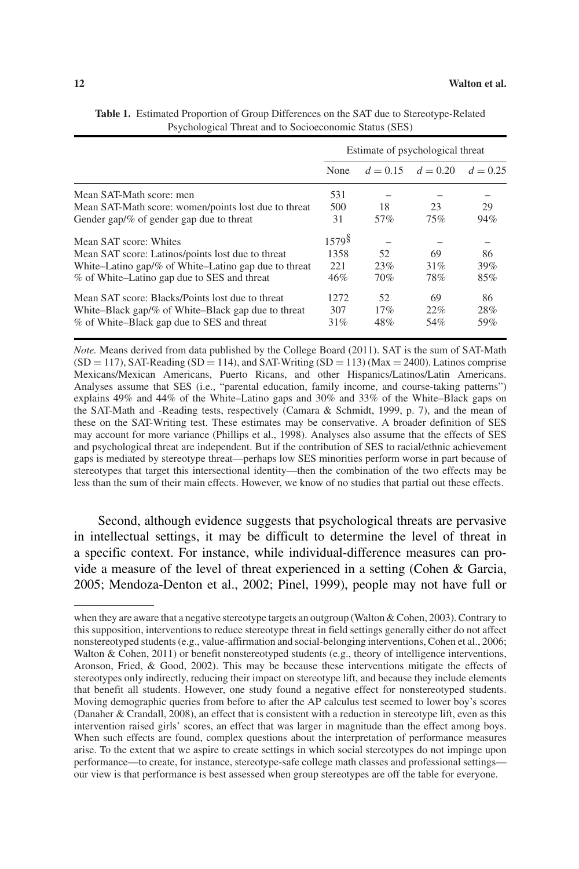|                                                      | Estimate of psychological threat |            |            |            |
|------------------------------------------------------|----------------------------------|------------|------------|------------|
|                                                      | None                             | $d = 0.15$ | $d = 0.20$ | $d = 0.25$ |
| Mean SAT-Math score: men                             | 531                              |            |            |            |
| Mean SAT-Math score: women/points lost due to threat | 500                              | 18         | 23         | 29         |
| Gender gap/% of gender gap due to threat             | 31                               | 57%        | 75%        | 94%        |
| Mean SAT score: Whites                               | 15798                            |            |            |            |
| Mean SAT score: Latinos/points lost due to threat    | 1358                             | 52         | 69         | 86         |
| White-Latino gap/% of White-Latino gap due to threat | 221                              | 23%        | 31%        | 39%        |
| % of White–Latino gap due to SES and threat          | 46%                              | 70%        | 78%        | 85%        |
| Mean SAT score: Blacks/Points lost due to threat     | 1272                             | 52         | 69         | 86         |
| White–Black gap/% of White–Black gap due to threat   | 307                              | 17%        | 22%        | 28%        |
| % of White-Black gap due to SES and threat           | 31%                              | 48%        | 54%        | 59%        |

**Table 1.** Estimated Proportion of Group Differences on the SAT due to Stereotype-Related Psychological Threat and to Socioeconomic Status (SES)

*Note.* Means derived from data published by the College Board (2011). SAT is the sum of SAT-Math  $(SD = 117)$ , SAT-Reading  $(SD = 114)$ , and SAT-Writing  $(SD = 113)$  (Max = 2400). Latinos comprise Mexicans/Mexican Americans, Puerto Ricans, and other Hispanics/Latinos/Latin Americans. Analyses assume that SES (i.e., "parental education, family income, and course-taking patterns") explains 49% and 44% of the White–Latino gaps and 30% and 33% of the White–Black gaps on the SAT-Math and -Reading tests, respectively (Camara & Schmidt, 1999, p. 7), and the mean of these on the SAT-Writing test. These estimates may be conservative. A broader definition of SES may account for more variance (Phillips et al., 1998). Analyses also assume that the effects of SES and psychological threat are independent. But if the contribution of SES to racial/ethnic achievement gaps is mediated by stereotype threat—perhaps low SES minorities perform worse in part because of stereotypes that target this intersectional identity—then the combination of the two effects may be less than the sum of their main effects. However, we know of no studies that partial out these effects.

Second, although evidence suggests that psychological threats are pervasive in intellectual settings, it may be difficult to determine the level of threat in a specific context. For instance, while individual-difference measures can provide a measure of the level of threat experienced in a setting (Cohen & Garcia, 2005; Mendoza-Denton et al., 2002; Pinel, 1999), people may not have full or

when they are aware that a negative stereotype targets an outgroup (Walton & Cohen, 2003). Contrary to this supposition, interventions to reduce stereotype threat in field settings generally either do not affect nonstereotyped students (e.g., value-affirmation and social-belonging interventions, Cohen et al., 2006; Walton & Cohen, 2011) or benefit nonstereotyped students (e.g., theory of intelligence interventions, Aronson, Fried, & Good, 2002). This may be because these interventions mitigate the effects of stereotypes only indirectly, reducing their impact on stereotype lift, and because they include elements that benefit all students. However, one study found a negative effect for nonstereotyped students. Moving demographic queries from before to after the AP calculus test seemed to lower boy's scores (Danaher & Crandall, 2008), an effect that is consistent with a reduction in stereotype lift, even as this intervention raised girls' scores, an effect that was larger in magnitude than the effect among boys. When such effects are found, complex questions about the interpretation of performance measures arise. To the extent that we aspire to create settings in which social stereotypes do not impinge upon performance—to create, for instance, stereotype-safe college math classes and professional settings our view is that performance is best assessed when group stereotypes are off the table for everyone.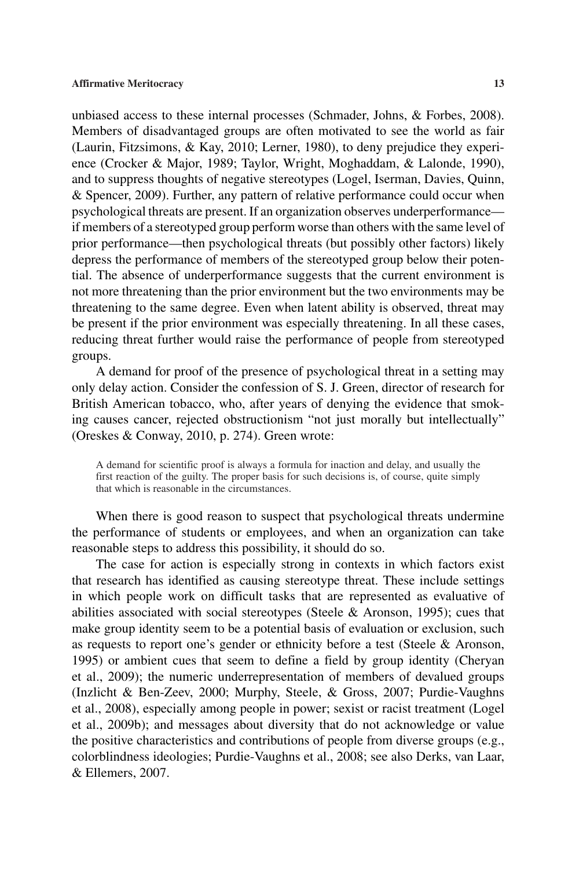unbiased access to these internal processes (Schmader, Johns, & Forbes, 2008). Members of disadvantaged groups are often motivated to see the world as fair (Laurin, Fitzsimons, & Kay, 2010; Lerner, 1980), to deny prejudice they experience (Crocker & Major, 1989; Taylor, Wright, Moghaddam, & Lalonde, 1990), and to suppress thoughts of negative stereotypes (Logel, Iserman, Davies, Quinn, & Spencer, 2009). Further, any pattern of relative performance could occur when psychological threats are present. If an organization observes underperformance if members of a stereotyped group perform worse than others with the same level of prior performance—then psychological threats (but possibly other factors) likely depress the performance of members of the stereotyped group below their potential. The absence of underperformance suggests that the current environment is not more threatening than the prior environment but the two environments may be threatening to the same degree. Even when latent ability is observed, threat may be present if the prior environment was especially threatening. In all these cases, reducing threat further would raise the performance of people from stereotyped groups.

A demand for proof of the presence of psychological threat in a setting may only delay action. Consider the confession of S. J. Green, director of research for British American tobacco, who, after years of denying the evidence that smoking causes cancer, rejected obstructionism "not just morally but intellectually" (Oreskes & Conway, 2010, p. 274). Green wrote:

A demand for scientific proof is always a formula for inaction and delay, and usually the first reaction of the guilty. The proper basis for such decisions is, of course, quite simply that which is reasonable in the circumstances.

When there is good reason to suspect that psychological threats undermine the performance of students or employees, and when an organization can take reasonable steps to address this possibility, it should do so.

The case for action is especially strong in contexts in which factors exist that research has identified as causing stereotype threat. These include settings in which people work on difficult tasks that are represented as evaluative of abilities associated with social stereotypes (Steele  $\&$  Aronson, 1995); cues that make group identity seem to be a potential basis of evaluation or exclusion, such as requests to report one's gender or ethnicity before a test (Steele & Aronson, 1995) or ambient cues that seem to define a field by group identity (Cheryan et al., 2009); the numeric underrepresentation of members of devalued groups (Inzlicht & Ben-Zeev, 2000; Murphy, Steele, & Gross, 2007; Purdie-Vaughns et al., 2008), especially among people in power; sexist or racist treatment (Logel et al., 2009b); and messages about diversity that do not acknowledge or value the positive characteristics and contributions of people from diverse groups (e.g., colorblindness ideologies; Purdie-Vaughns et al., 2008; see also Derks, van Laar, & Ellemers, 2007.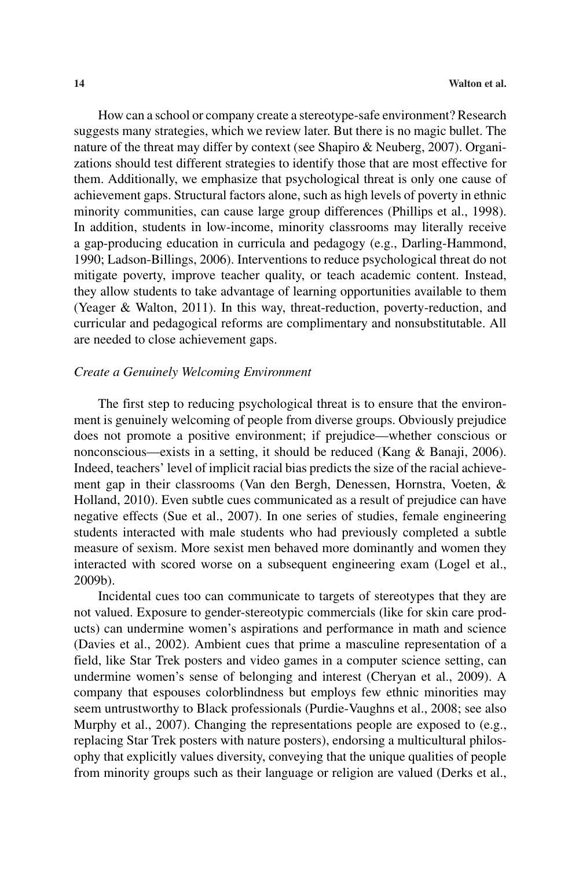How can a school or company create a stereotype-safe environment? Research suggests many strategies, which we review later. But there is no magic bullet. The nature of the threat may differ by context (see Shapiro & Neuberg, 2007). Organizations should test different strategies to identify those that are most effective for them. Additionally, we emphasize that psychological threat is only one cause of achievement gaps. Structural factors alone, such as high levels of poverty in ethnic minority communities, can cause large group differences (Phillips et al., 1998). In addition, students in low-income, minority classrooms may literally receive a gap-producing education in curricula and pedagogy (e.g., Darling-Hammond, 1990; Ladson-Billings, 2006). Interventions to reduce psychological threat do not mitigate poverty, improve teacher quality, or teach academic content. Instead, they allow students to take advantage of learning opportunities available to them (Yeager & Walton, 2011). In this way, threat-reduction, poverty-reduction, and curricular and pedagogical reforms are complimentary and nonsubstitutable. All are needed to close achievement gaps.

# *Create a Genuinely Welcoming Environment*

The first step to reducing psychological threat is to ensure that the environment is genuinely welcoming of people from diverse groups. Obviously prejudice does not promote a positive environment; if prejudice—whether conscious or nonconscious—exists in a setting, it should be reduced (Kang & Banaji, 2006). Indeed, teachers' level of implicit racial bias predicts the size of the racial achievement gap in their classrooms (Van den Bergh, Denessen, Hornstra, Voeten, & Holland, 2010). Even subtle cues communicated as a result of prejudice can have negative effects (Sue et al., 2007). In one series of studies, female engineering students interacted with male students who had previously completed a subtle measure of sexism. More sexist men behaved more dominantly and women they interacted with scored worse on a subsequent engineering exam (Logel et al., 2009b).

Incidental cues too can communicate to targets of stereotypes that they are not valued. Exposure to gender-stereotypic commercials (like for skin care products) can undermine women's aspirations and performance in math and science (Davies et al., 2002). Ambient cues that prime a masculine representation of a field, like Star Trek posters and video games in a computer science setting, can undermine women's sense of belonging and interest (Cheryan et al., 2009). A company that espouses colorblindness but employs few ethnic minorities may seem untrustworthy to Black professionals (Purdie-Vaughns et al., 2008; see also Murphy et al., 2007). Changing the representations people are exposed to (e.g., replacing Star Trek posters with nature posters), endorsing a multicultural philosophy that explicitly values diversity, conveying that the unique qualities of people from minority groups such as their language or religion are valued (Derks et al.,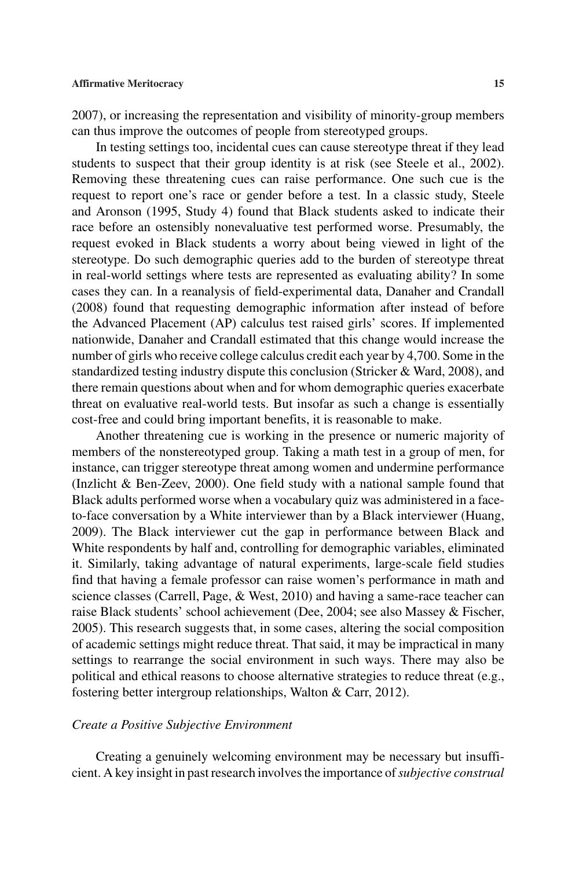2007), or increasing the representation and visibility of minority-group members can thus improve the outcomes of people from stereotyped groups.

In testing settings too, incidental cues can cause stereotype threat if they lead students to suspect that their group identity is at risk (see Steele et al., 2002). Removing these threatening cues can raise performance. One such cue is the request to report one's race or gender before a test. In a classic study, Steele and Aronson (1995, Study 4) found that Black students asked to indicate their race before an ostensibly nonevaluative test performed worse. Presumably, the request evoked in Black students a worry about being viewed in light of the stereotype. Do such demographic queries add to the burden of stereotype threat in real-world settings where tests are represented as evaluating ability? In some cases they can. In a reanalysis of field-experimental data, Danaher and Crandall (2008) found that requesting demographic information after instead of before the Advanced Placement (AP) calculus test raised girls' scores. If implemented nationwide, Danaher and Crandall estimated that this change would increase the number of girls who receive college calculus credit each year by 4,700. Some in the standardized testing industry dispute this conclusion (Stricker & Ward, 2008), and there remain questions about when and for whom demographic queries exacerbate threat on evaluative real-world tests. But insofar as such a change is essentially cost-free and could bring important benefits, it is reasonable to make.

Another threatening cue is working in the presence or numeric majority of members of the nonstereotyped group. Taking a math test in a group of men, for instance, can trigger stereotype threat among women and undermine performance (Inzlicht & Ben-Zeev, 2000). One field study with a national sample found that Black adults performed worse when a vocabulary quiz was administered in a faceto-face conversation by a White interviewer than by a Black interviewer (Huang, 2009). The Black interviewer cut the gap in performance between Black and White respondents by half and, controlling for demographic variables, eliminated it. Similarly, taking advantage of natural experiments, large-scale field studies find that having a female professor can raise women's performance in math and science classes (Carrell, Page, & West, 2010) and having a same-race teacher can raise Black students' school achievement (Dee, 2004; see also Massey & Fischer, 2005). This research suggests that, in some cases, altering the social composition of academic settings might reduce threat. That said, it may be impractical in many settings to rearrange the social environment in such ways. There may also be political and ethical reasons to choose alternative strategies to reduce threat (e.g., fostering better intergroup relationships, Walton & Carr, 2012).

### *Create a Positive Subjective Environment*

Creating a genuinely welcoming environment may be necessary but insufficient. A key insight in past research involves the importance of*subjective construal*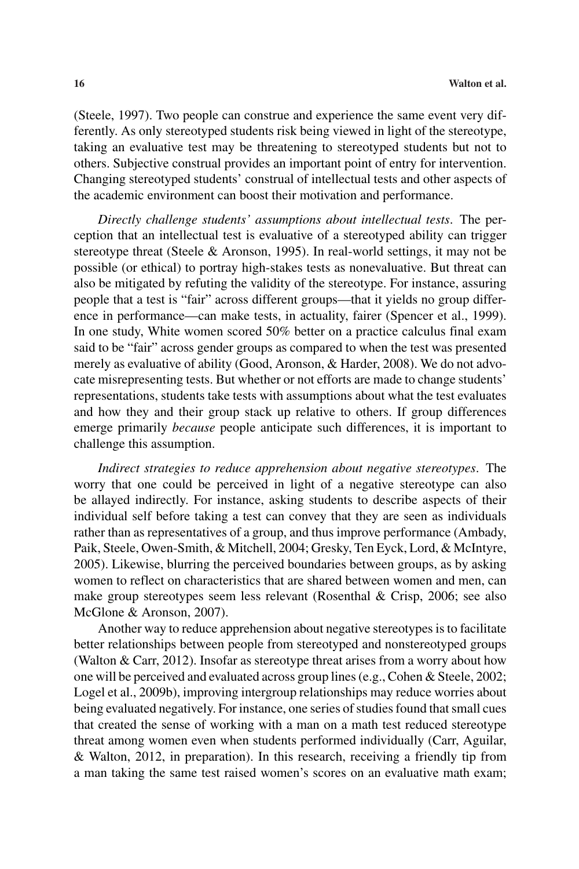(Steele, 1997). Two people can construe and experience the same event very differently. As only stereotyped students risk being viewed in light of the stereotype, taking an evaluative test may be threatening to stereotyped students but not to others. Subjective construal provides an important point of entry for intervention. Changing stereotyped students' construal of intellectual tests and other aspects of the academic environment can boost their motivation and performance.

*Directly challenge students' assumptions about intellectual tests*. The perception that an intellectual test is evaluative of a stereotyped ability can trigger stereotype threat (Steele & Aronson, 1995). In real-world settings, it may not be possible (or ethical) to portray high-stakes tests as nonevaluative. But threat can also be mitigated by refuting the validity of the stereotype. For instance, assuring people that a test is "fair" across different groups—that it yields no group difference in performance—can make tests, in actuality, fairer (Spencer et al., 1999). In one study, White women scored 50% better on a practice calculus final exam said to be "fair" across gender groups as compared to when the test was presented merely as evaluative of ability (Good, Aronson, & Harder, 2008). We do not advocate misrepresenting tests. But whether or not efforts are made to change students' representations, students take tests with assumptions about what the test evaluates and how they and their group stack up relative to others. If group differences emerge primarily *because* people anticipate such differences, it is important to challenge this assumption.

*Indirect strategies to reduce apprehension about negative stereotypes*. The worry that one could be perceived in light of a negative stereotype can also be allayed indirectly. For instance, asking students to describe aspects of their individual self before taking a test can convey that they are seen as individuals rather than as representatives of a group, and thus improve performance (Ambady, Paik, Steele, Owen-Smith, & Mitchell, 2004; Gresky, Ten Eyck, Lord, & McIntyre, 2005). Likewise, blurring the perceived boundaries between groups, as by asking women to reflect on characteristics that are shared between women and men, can make group stereotypes seem less relevant (Rosenthal & Crisp, 2006; see also McGlone & Aronson, 2007).

Another way to reduce apprehension about negative stereotypes is to facilitate better relationships between people from stereotyped and nonstereotyped groups (Walton & Carr, 2012). Insofar as stereotype threat arises from a worry about how one will be perceived and evaluated across group lines (e.g., Cohen & Steele, 2002; Logel et al., 2009b), improving intergroup relationships may reduce worries about being evaluated negatively. For instance, one series of studies found that small cues that created the sense of working with a man on a math test reduced stereotype threat among women even when students performed individually (Carr, Aguilar, & Walton, 2012, in preparation). In this research, receiving a friendly tip from a man taking the same test raised women's scores on an evaluative math exam;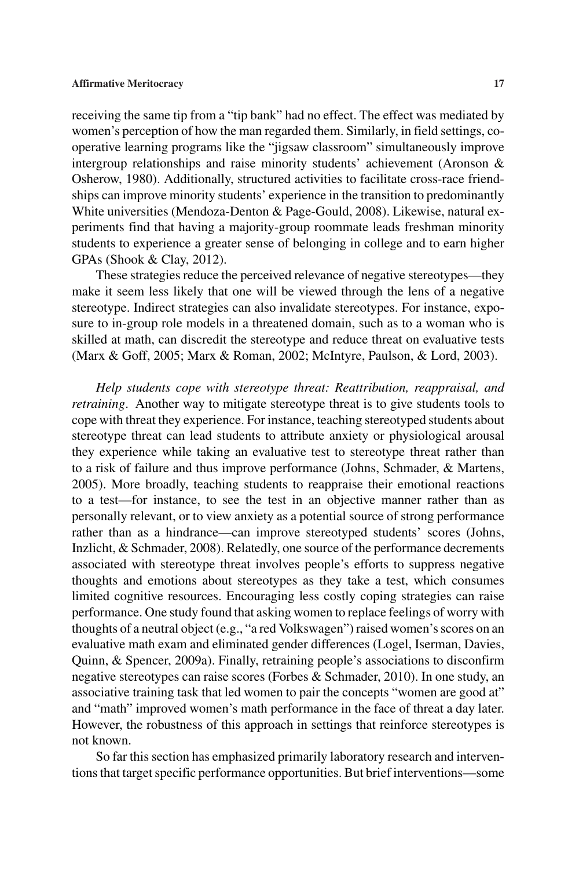receiving the same tip from a "tip bank" had no effect. The effect was mediated by women's perception of how the man regarded them. Similarly, in field settings, cooperative learning programs like the "jigsaw classroom" simultaneously improve intergroup relationships and raise minority students' achievement (Aronson & Osherow, 1980). Additionally, structured activities to facilitate cross-race friendships can improve minority students' experience in the transition to predominantly White universities (Mendoza-Denton & Page-Gould, 2008). Likewise, natural experiments find that having a majority-group roommate leads freshman minority students to experience a greater sense of belonging in college and to earn higher GPAs (Shook & Clay, 2012).

These strategies reduce the perceived relevance of negative stereotypes—they make it seem less likely that one will be viewed through the lens of a negative stereotype. Indirect strategies can also invalidate stereotypes. For instance, exposure to in-group role models in a threatened domain, such as to a woman who is skilled at math, can discredit the stereotype and reduce threat on evaluative tests (Marx & Goff, 2005; Marx & Roman, 2002; McIntyre, Paulson, & Lord, 2003).

*Help students cope with stereotype threat: Reattribution, reappraisal, and retraining*. Another way to mitigate stereotype threat is to give students tools to cope with threat they experience. For instance, teaching stereotyped students about stereotype threat can lead students to attribute anxiety or physiological arousal they experience while taking an evaluative test to stereotype threat rather than to a risk of failure and thus improve performance (Johns, Schmader, & Martens, 2005). More broadly, teaching students to reappraise their emotional reactions to a test—for instance, to see the test in an objective manner rather than as personally relevant, or to view anxiety as a potential source of strong performance rather than as a hindrance—can improve stereotyped students' scores (Johns, Inzlicht, & Schmader, 2008). Relatedly, one source of the performance decrements associated with stereotype threat involves people's efforts to suppress negative thoughts and emotions about stereotypes as they take a test, which consumes limited cognitive resources. Encouraging less costly coping strategies can raise performance. One study found that asking women to replace feelings of worry with thoughts of a neutral object (e.g., "a red Volkswagen") raised women's scores on an evaluative math exam and eliminated gender differences (Logel, Iserman, Davies, Quinn, & Spencer, 2009a). Finally, retraining people's associations to disconfirm negative stereotypes can raise scores (Forbes & Schmader, 2010). In one study, an associative training task that led women to pair the concepts "women are good at" and "math" improved women's math performance in the face of threat a day later. However, the robustness of this approach in settings that reinforce stereotypes is not known.

So far this section has emphasized primarily laboratory research and interventions that target specific performance opportunities. But brief interventions—some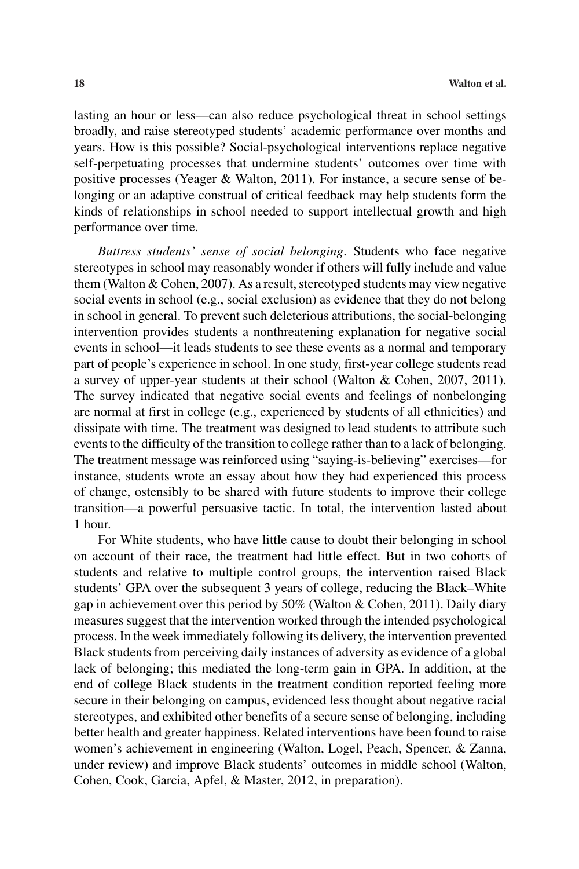lasting an hour or less—can also reduce psychological threat in school settings broadly, and raise stereotyped students' academic performance over months and years. How is this possible? Social-psychological interventions replace negative self-perpetuating processes that undermine students' outcomes over time with positive processes (Yeager & Walton, 2011). For instance, a secure sense of belonging or an adaptive construal of critical feedback may help students form the kinds of relationships in school needed to support intellectual growth and high performance over time.

*Buttress students' sense of social belonging*. Students who face negative stereotypes in school may reasonably wonder if others will fully include and value them (Walton & Cohen, 2007). As a result, stereotyped students may view negative social events in school (e.g., social exclusion) as evidence that they do not belong in school in general. To prevent such deleterious attributions, the social-belonging intervention provides students a nonthreatening explanation for negative social events in school—it leads students to see these events as a normal and temporary part of people's experience in school. In one study, first-year college students read a survey of upper-year students at their school (Walton & Cohen, 2007, 2011). The survey indicated that negative social events and feelings of nonbelonging are normal at first in college (e.g., experienced by students of all ethnicities) and dissipate with time. The treatment was designed to lead students to attribute such events to the difficulty of the transition to college rather than to a lack of belonging. The treatment message was reinforced using "saying-is-believing" exercises—for instance, students wrote an essay about how they had experienced this process of change, ostensibly to be shared with future students to improve their college transition—a powerful persuasive tactic. In total, the intervention lasted about 1 hour.

For White students, who have little cause to doubt their belonging in school on account of their race, the treatment had little effect. But in two cohorts of students and relative to multiple control groups, the intervention raised Black students' GPA over the subsequent 3 years of college, reducing the Black–White gap in achievement over this period by 50% (Walton & Cohen, 2011). Daily diary measures suggest that the intervention worked through the intended psychological process. In the week immediately following its delivery, the intervention prevented Black students from perceiving daily instances of adversity as evidence of a global lack of belonging; this mediated the long-term gain in GPA. In addition, at the end of college Black students in the treatment condition reported feeling more secure in their belonging on campus, evidenced less thought about negative racial stereotypes, and exhibited other benefits of a secure sense of belonging, including better health and greater happiness. Related interventions have been found to raise women's achievement in engineering (Walton, Logel, Peach, Spencer, & Zanna, under review) and improve Black students' outcomes in middle school (Walton, Cohen, Cook, Garcia, Apfel, & Master, 2012, in preparation).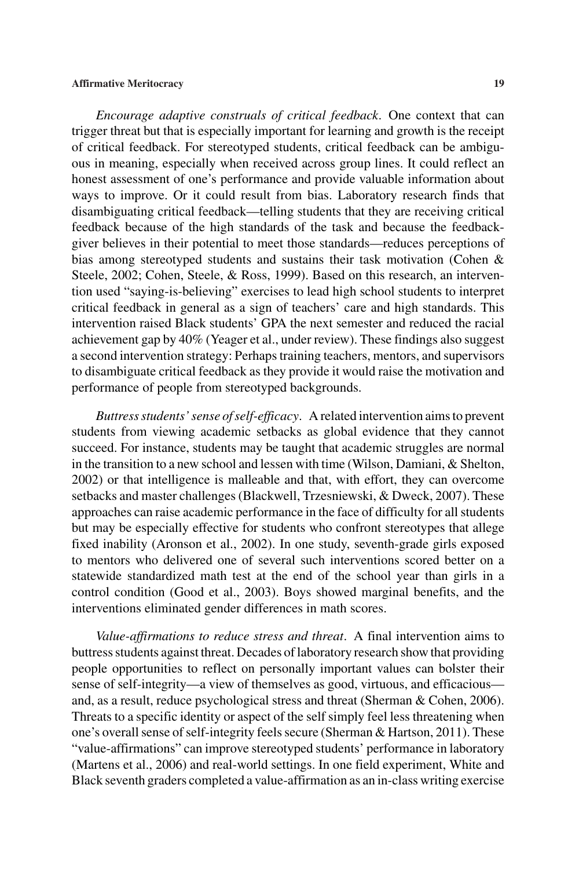*Encourage adaptive construals of critical feedback*. One context that can trigger threat but that is especially important for learning and growth is the receipt of critical feedback. For stereotyped students, critical feedback can be ambiguous in meaning, especially when received across group lines. It could reflect an honest assessment of one's performance and provide valuable information about ways to improve. Or it could result from bias. Laboratory research finds that disambiguating critical feedback—telling students that they are receiving critical feedback because of the high standards of the task and because the feedbackgiver believes in their potential to meet those standards—reduces perceptions of bias among stereotyped students and sustains their task motivation (Cohen & Steele, 2002; Cohen, Steele, & Ross, 1999). Based on this research, an intervention used "saying-is-believing" exercises to lead high school students to interpret critical feedback in general as a sign of teachers' care and high standards. This intervention raised Black students' GPA the next semester and reduced the racial achievement gap by 40% (Yeager et al., under review). These findings also suggest a second intervention strategy: Perhaps training teachers, mentors, and supervisors to disambiguate critical feedback as they provide it would raise the motivation and performance of people from stereotyped backgrounds.

*Buttress students' sense of self-efficacy*. A related intervention aims to prevent students from viewing academic setbacks as global evidence that they cannot succeed. For instance, students may be taught that academic struggles are normal in the transition to a new school and lessen with time (Wilson, Damiani, & Shelton, 2002) or that intelligence is malleable and that, with effort, they can overcome setbacks and master challenges (Blackwell, Trzesniewski, & Dweck, 2007). These approaches can raise academic performance in the face of difficulty for all students but may be especially effective for students who confront stereotypes that allege fixed inability (Aronson et al., 2002). In one study, seventh-grade girls exposed to mentors who delivered one of several such interventions scored better on a statewide standardized math test at the end of the school year than girls in a control condition (Good et al., 2003). Boys showed marginal benefits, and the interventions eliminated gender differences in math scores.

*Value-affirmations to reduce stress and threat*. A final intervention aims to buttress students against threat. Decades of laboratory research show that providing people opportunities to reflect on personally important values can bolster their sense of self-integrity—a view of themselves as good, virtuous, and efficacious and, as a result, reduce psychological stress and threat (Sherman & Cohen, 2006). Threats to a specific identity or aspect of the self simply feel less threatening when one's overall sense of self-integrity feels secure (Sherman & Hartson, 2011). These "value-affirmations" can improve stereotyped students' performance in laboratory (Martens et al., 2006) and real-world settings. In one field experiment, White and Black seventh graders completed a value-affirmation as an in-class writing exercise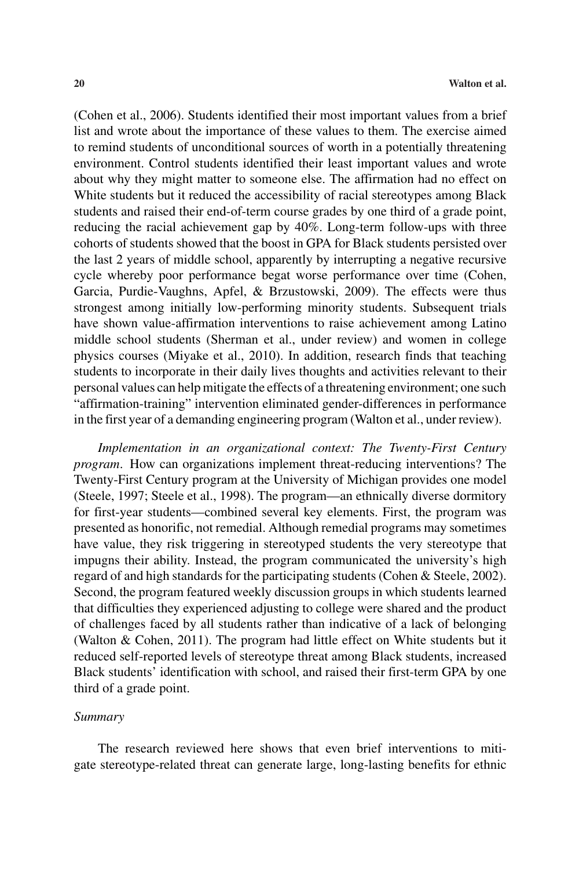(Cohen et al., 2006). Students identified their most important values from a brief list and wrote about the importance of these values to them. The exercise aimed to remind students of unconditional sources of worth in a potentially threatening environment. Control students identified their least important values and wrote about why they might matter to someone else. The affirmation had no effect on White students but it reduced the accessibility of racial stereotypes among Black students and raised their end-of-term course grades by one third of a grade point, reducing the racial achievement gap by 40%. Long-term follow-ups with three cohorts of students showed that the boost in GPA for Black students persisted over the last 2 years of middle school, apparently by interrupting a negative recursive cycle whereby poor performance begat worse performance over time (Cohen, Garcia, Purdie-Vaughns, Apfel, & Brzustowski, 2009). The effects were thus strongest among initially low-performing minority students. Subsequent trials have shown value-affirmation interventions to raise achievement among Latino middle school students (Sherman et al., under review) and women in college physics courses (Miyake et al., 2010). In addition, research finds that teaching students to incorporate in their daily lives thoughts and activities relevant to their personal values can help mitigate the effects of a threatening environment; one such "affirmation-training" intervention eliminated gender-differences in performance in the first year of a demanding engineering program (Walton et al., under review).

*Implementation in an organizational context: The Twenty-First Century program*. How can organizations implement threat-reducing interventions? The Twenty-First Century program at the University of Michigan provides one model (Steele, 1997; Steele et al., 1998). The program—an ethnically diverse dormitory for first-year students—combined several key elements. First, the program was presented as honorific, not remedial. Although remedial programs may sometimes have value, they risk triggering in stereotyped students the very stereotype that impugns their ability. Instead, the program communicated the university's high regard of and high standards for the participating students (Cohen & Steele, 2002). Second, the program featured weekly discussion groups in which students learned that difficulties they experienced adjusting to college were shared and the product of challenges faced by all students rather than indicative of a lack of belonging (Walton & Cohen, 2011). The program had little effect on White students but it reduced self-reported levels of stereotype threat among Black students, increased Black students' identification with school, and raised their first-term GPA by one third of a grade point.

# *Summary*

The research reviewed here shows that even brief interventions to mitigate stereotype-related threat can generate large, long-lasting benefits for ethnic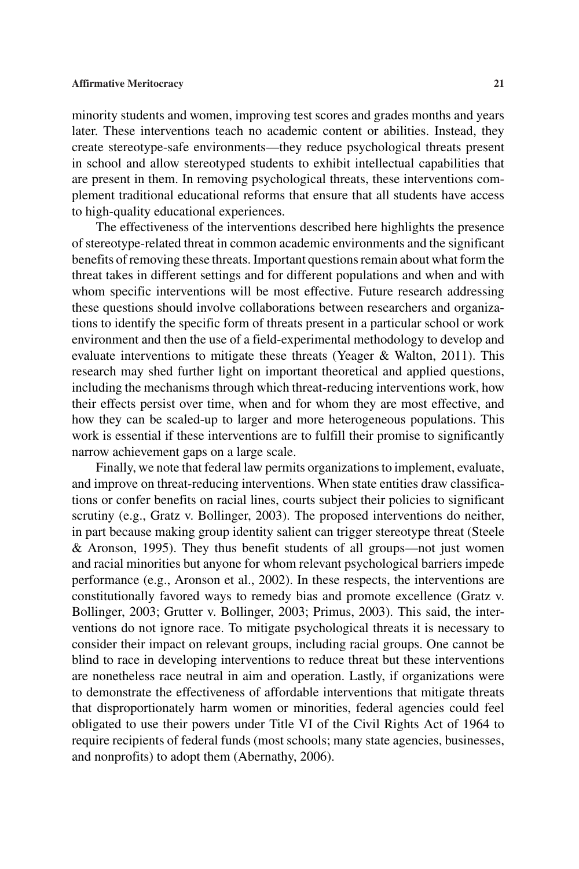minority students and women, improving test scores and grades months and years later. These interventions teach no academic content or abilities. Instead, they create stereotype-safe environments—they reduce psychological threats present in school and allow stereotyped students to exhibit intellectual capabilities that are present in them. In removing psychological threats, these interventions complement traditional educational reforms that ensure that all students have access to high-quality educational experiences.

The effectiveness of the interventions described here highlights the presence of stereotype-related threat in common academic environments and the significant benefits of removing these threats. Important questions remain about what form the threat takes in different settings and for different populations and when and with whom specific interventions will be most effective. Future research addressing these questions should involve collaborations between researchers and organizations to identify the specific form of threats present in a particular school or work environment and then the use of a field-experimental methodology to develop and evaluate interventions to mitigate these threats (Yeager & Walton, 2011). This research may shed further light on important theoretical and applied questions, including the mechanisms through which threat-reducing interventions work, how their effects persist over time, when and for whom they are most effective, and how they can be scaled-up to larger and more heterogeneous populations. This work is essential if these interventions are to fulfill their promise to significantly narrow achievement gaps on a large scale.

Finally, we note that federal law permits organizations to implement, evaluate, and improve on threat-reducing interventions. When state entities draw classifications or confer benefits on racial lines, courts subject their policies to significant scrutiny (e.g., Gratz v. Bollinger, 2003). The proposed interventions do neither, in part because making group identity salient can trigger stereotype threat (Steele & Aronson, 1995). They thus benefit students of all groups—not just women and racial minorities but anyone for whom relevant psychological barriers impede performance (e.g., Aronson et al., 2002). In these respects, the interventions are constitutionally favored ways to remedy bias and promote excellence (Gratz v. Bollinger, 2003; Grutter v. Bollinger, 2003; Primus, 2003). This said, the interventions do not ignore race. To mitigate psychological threats it is necessary to consider their impact on relevant groups, including racial groups. One cannot be blind to race in developing interventions to reduce threat but these interventions are nonetheless race neutral in aim and operation. Lastly, if organizations were to demonstrate the effectiveness of affordable interventions that mitigate threats that disproportionately harm women or minorities, federal agencies could feel obligated to use their powers under Title VI of the Civil Rights Act of 1964 to require recipients of federal funds (most schools; many state agencies, businesses, and nonprofits) to adopt them (Abernathy, 2006).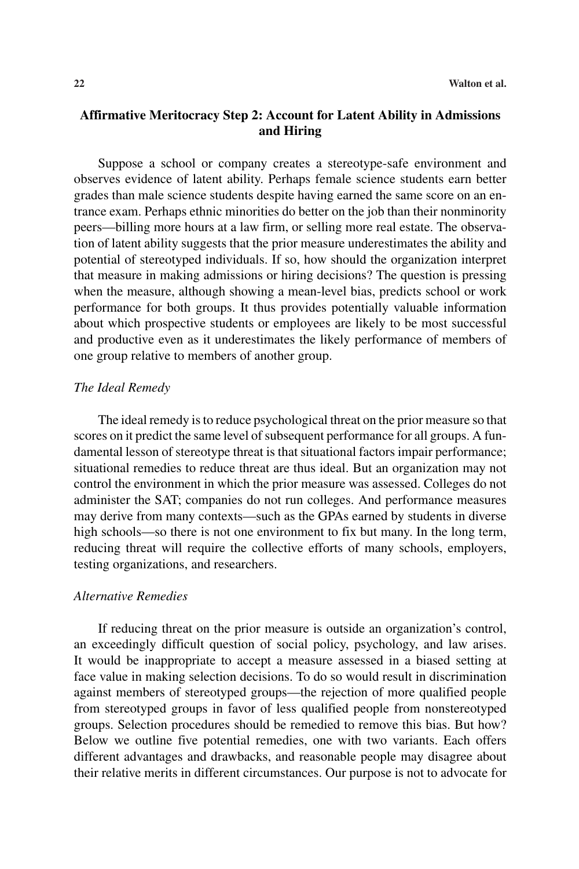# **Affirmative Meritocracy Step 2: Account for Latent Ability in Admissions and Hiring**

Suppose a school or company creates a stereotype-safe environment and observes evidence of latent ability. Perhaps female science students earn better grades than male science students despite having earned the same score on an entrance exam. Perhaps ethnic minorities do better on the job than their nonminority peers—billing more hours at a law firm, or selling more real estate. The observation of latent ability suggests that the prior measure underestimates the ability and potential of stereotyped individuals. If so, how should the organization interpret that measure in making admissions or hiring decisions? The question is pressing when the measure, although showing a mean-level bias, predicts school or work performance for both groups. It thus provides potentially valuable information about which prospective students or employees are likely to be most successful and productive even as it underestimates the likely performance of members of one group relative to members of another group.

### *The Ideal Remedy*

The ideal remedy is to reduce psychological threat on the prior measure so that scores on it predict the same level of subsequent performance for all groups. A fundamental lesson of stereotype threat is that situational factors impair performance; situational remedies to reduce threat are thus ideal. But an organization may not control the environment in which the prior measure was assessed. Colleges do not administer the SAT; companies do not run colleges. And performance measures may derive from many contexts—such as the GPAs earned by students in diverse high schools—so there is not one environment to fix but many. In the long term, reducing threat will require the collective efforts of many schools, employers, testing organizations, and researchers.

# *Alternative Remedies*

If reducing threat on the prior measure is outside an organization's control, an exceedingly difficult question of social policy, psychology, and law arises. It would be inappropriate to accept a measure assessed in a biased setting at face value in making selection decisions. To do so would result in discrimination against members of stereotyped groups—the rejection of more qualified people from stereotyped groups in favor of less qualified people from nonstereotyped groups. Selection procedures should be remedied to remove this bias. But how? Below we outline five potential remedies, one with two variants. Each offers different advantages and drawbacks, and reasonable people may disagree about their relative merits in different circumstances. Our purpose is not to advocate for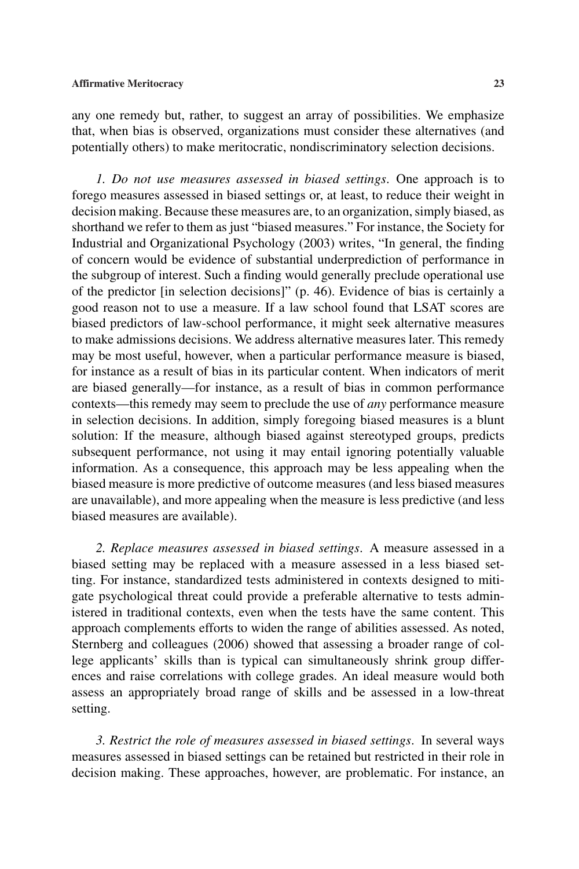any one remedy but, rather, to suggest an array of possibilities. We emphasize that, when bias is observed, organizations must consider these alternatives (and potentially others) to make meritocratic, nondiscriminatory selection decisions.

*1. Do not use measures assessed in biased settings*. One approach is to forego measures assessed in biased settings or, at least, to reduce their weight in decision making. Because these measures are, to an organization, simply biased, as shorthand we refer to them as just "biased measures." For instance, the Society for Industrial and Organizational Psychology (2003) writes, "In general, the finding of concern would be evidence of substantial underprediction of performance in the subgroup of interest. Such a finding would generally preclude operational use of the predictor [in selection decisions]" (p. 46). Evidence of bias is certainly a good reason not to use a measure. If a law school found that LSAT scores are biased predictors of law-school performance, it might seek alternative measures to make admissions decisions. We address alternative measures later. This remedy may be most useful, however, when a particular performance measure is biased, for instance as a result of bias in its particular content. When indicators of merit are biased generally—for instance, as a result of bias in common performance contexts—this remedy may seem to preclude the use of *any* performance measure in selection decisions. In addition, simply foregoing biased measures is a blunt solution: If the measure, although biased against stereotyped groups, predicts subsequent performance, not using it may entail ignoring potentially valuable information. As a consequence, this approach may be less appealing when the biased measure is more predictive of outcome measures (and less biased measures are unavailable), and more appealing when the measure is less predictive (and less biased measures are available).

*2. Replace measures assessed in biased settings*. A measure assessed in a biased setting may be replaced with a measure assessed in a less biased setting. For instance, standardized tests administered in contexts designed to mitigate psychological threat could provide a preferable alternative to tests administered in traditional contexts, even when the tests have the same content. This approach complements efforts to widen the range of abilities assessed. As noted, Sternberg and colleagues (2006) showed that assessing a broader range of college applicants' skills than is typical can simultaneously shrink group differences and raise correlations with college grades. An ideal measure would both assess an appropriately broad range of skills and be assessed in a low-threat setting.

*3. Restrict the role of measures assessed in biased settings*. In several ways measures assessed in biased settings can be retained but restricted in their role in decision making. These approaches, however, are problematic. For instance, an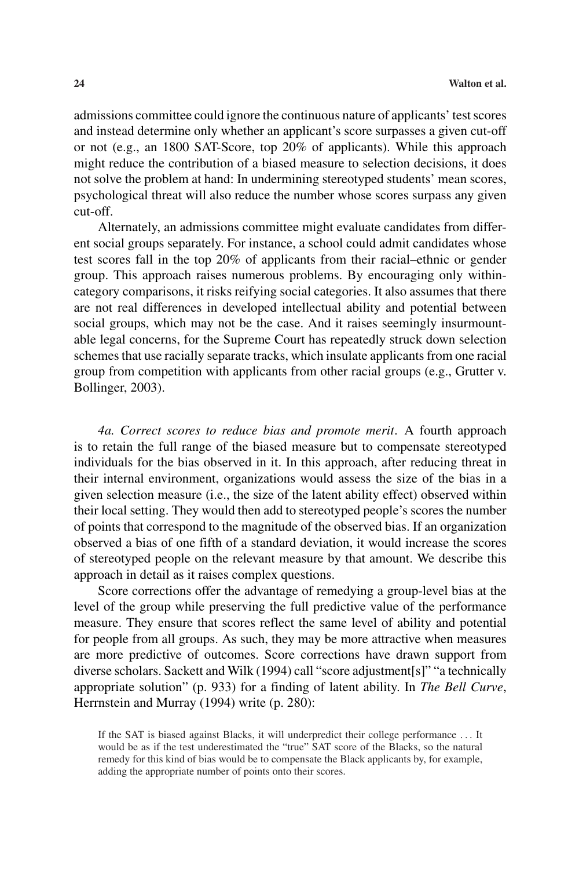admissions committee could ignore the continuous nature of applicants' test scores and instead determine only whether an applicant's score surpasses a given cut-off or not (e.g., an 1800 SAT-Score, top 20% of applicants). While this approach might reduce the contribution of a biased measure to selection decisions, it does not solve the problem at hand: In undermining stereotyped students' mean scores, psychological threat will also reduce the number whose scores surpass any given cut-off.

Alternately, an admissions committee might evaluate candidates from different social groups separately. For instance, a school could admit candidates whose test scores fall in the top 20% of applicants from their racial–ethnic or gender group. This approach raises numerous problems. By encouraging only withincategory comparisons, it risks reifying social categories. It also assumes that there are not real differences in developed intellectual ability and potential between social groups, which may not be the case. And it raises seemingly insurmountable legal concerns, for the Supreme Court has repeatedly struck down selection schemes that use racially separate tracks, which insulate applicants from one racial group from competition with applicants from other racial groups (e.g., Grutter v. Bollinger, 2003).

*4a. Correct scores to reduce bias and promote merit*. A fourth approach is to retain the full range of the biased measure but to compensate stereotyped individuals for the bias observed in it. In this approach, after reducing threat in their internal environment, organizations would assess the size of the bias in a given selection measure (i.e., the size of the latent ability effect) observed within their local setting. They would then add to stereotyped people's scores the number of points that correspond to the magnitude of the observed bias. If an organization observed a bias of one fifth of a standard deviation, it would increase the scores of stereotyped people on the relevant measure by that amount. We describe this approach in detail as it raises complex questions.

Score corrections offer the advantage of remedying a group-level bias at the level of the group while preserving the full predictive value of the performance measure. They ensure that scores reflect the same level of ability and potential for people from all groups. As such, they may be more attractive when measures are more predictive of outcomes. Score corrections have drawn support from diverse scholars. Sackett and Wilk (1994) call "score adjustment[s]" "a technically appropriate solution" (p. 933) for a finding of latent ability. In *The Bell Curve*, Herrnstein and Murray (1994) write (p. 280):

If the SAT is biased against Blacks, it will underpredict their college performance *...* It would be as if the test underestimated the "true" SAT score of the Blacks, so the natural remedy for this kind of bias would be to compensate the Black applicants by, for example, adding the appropriate number of points onto their scores.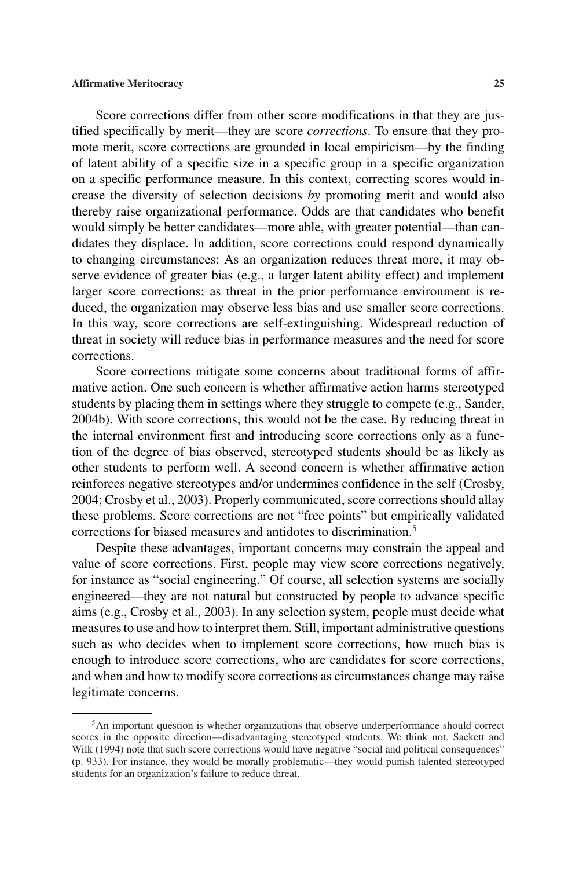Score corrections differ from other score modifications in that they are justified specifically by merit—they are score *corrections*. To ensure that they promote merit, score corrections are grounded in local empiricism—by the finding of latent ability of a specific size in a specific group in a specific organization on a specific performance measure. In this context, correcting scores would increase the diversity of selection decisions *by* promoting merit and would also thereby raise organizational performance. Odds are that candidates who benefit would simply be better candidates—more able, with greater potential—than candidates they displace. In addition, score corrections could respond dynamically to changing circumstances: As an organization reduces threat more, it may observe evidence of greater bias (e.g., a larger latent ability effect) and implement larger score corrections; as threat in the prior performance environment is reduced, the organization may observe less bias and use smaller score corrections. In this way, score corrections are self-extinguishing. Widespread reduction of threat in society will reduce bias in performance measures and the need for score corrections.

Score corrections mitigate some concerns about traditional forms of affirmative action. One such concern is whether affirmative action harms stereotyped students by placing them in settings where they struggle to compete (e.g., Sander, 2004b). With score corrections, this would not be the case. By reducing threat in the internal environment first and introducing score corrections only as a function of the degree of bias observed, stereotyped students should be as likely as other students to perform well. A second concern is whether affirmative action reinforces negative stereotypes and/or undermines confidence in the self (Crosby, 2004; Crosby et al., 2003). Properly communicated, score corrections should allay these problems. Score corrections are not "free points" but empirically validated corrections for biased measures and antidotes to discrimination.5

Despite these advantages, important concerns may constrain the appeal and value of score corrections. First, people may view score corrections negatively, for instance as "social engineering." Of course, all selection systems are socially engineered—they are not natural but constructed by people to advance specific aims (e.g., Crosby et al., 2003). In any selection system, people must decide what measures to use and how to interpret them. Still, important administrative questions such as who decides when to implement score corrections, how much bias is enough to introduce score corrections, who are candidates for score corrections, and when and how to modify score corrections as circumstances change may raise legitimate concerns.

<sup>5</sup>An important question is whether organizations that observe underperformance should correct scores in the opposite direction—disadvantaging stereotyped students. We think not. Sackett and Wilk (1994) note that such score corrections would have negative "social and political consequences" (p. 933). For instance, they would be morally problematic—they would punish talented stereotyped students for an organization's failure to reduce threat.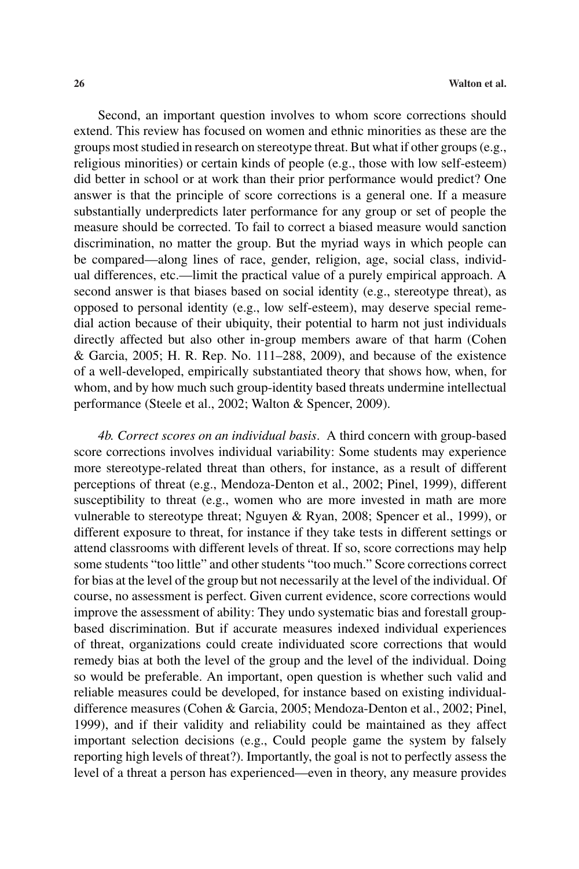Second, an important question involves to whom score corrections should extend. This review has focused on women and ethnic minorities as these are the groups most studied in research on stereotype threat. But what if other groups (e.g., religious minorities) or certain kinds of people (e.g., those with low self-esteem) did better in school or at work than their prior performance would predict? One answer is that the principle of score corrections is a general one. If a measure substantially underpredicts later performance for any group or set of people the measure should be corrected. To fail to correct a biased measure would sanction discrimination, no matter the group. But the myriad ways in which people can be compared—along lines of race, gender, religion, age, social class, individual differences, etc.—limit the practical value of a purely empirical approach. A second answer is that biases based on social identity (e.g., stereotype threat), as opposed to personal identity (e.g., low self-esteem), may deserve special remedial action because of their ubiquity, their potential to harm not just individuals directly affected but also other in-group members aware of that harm (Cohen & Garcia, 2005; H. R. Rep. No. 111–288, 2009), and because of the existence of a well-developed, empirically substantiated theory that shows how, when, for whom, and by how much such group-identity based threats undermine intellectual performance (Steele et al., 2002; Walton & Spencer, 2009).

*4b. Correct scores on an individual basis*. A third concern with group-based score corrections involves individual variability: Some students may experience more stereotype-related threat than others, for instance, as a result of different perceptions of threat (e.g., Mendoza-Denton et al., 2002; Pinel, 1999), different susceptibility to threat (e.g., women who are more invested in math are more vulnerable to stereotype threat; Nguyen & Ryan, 2008; Spencer et al., 1999), or different exposure to threat, for instance if they take tests in different settings or attend classrooms with different levels of threat. If so, score corrections may help some students "too little" and other students "too much." Score corrections correct for bias at the level of the group but not necessarily at the level of the individual. Of course, no assessment is perfect. Given current evidence, score corrections would improve the assessment of ability: They undo systematic bias and forestall groupbased discrimination. But if accurate measures indexed individual experiences of threat, organizations could create individuated score corrections that would remedy bias at both the level of the group and the level of the individual. Doing so would be preferable. An important, open question is whether such valid and reliable measures could be developed, for instance based on existing individualdifference measures (Cohen & Garcia, 2005; Mendoza-Denton et al., 2002; Pinel, 1999), and if their validity and reliability could be maintained as they affect important selection decisions (e.g., Could people game the system by falsely reporting high levels of threat?). Importantly, the goal is not to perfectly assess the level of a threat a person has experienced—even in theory, any measure provides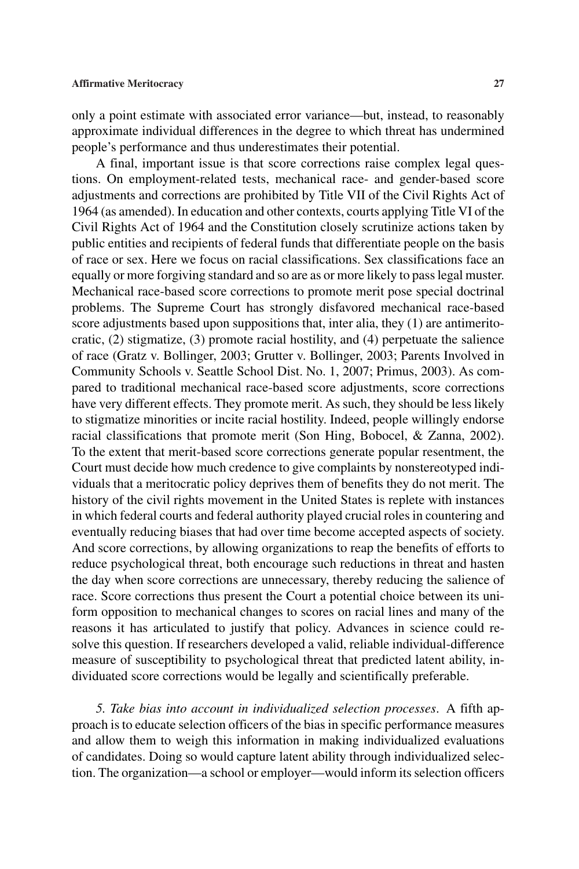only a point estimate with associated error variance—but, instead, to reasonably approximate individual differences in the degree to which threat has undermined people's performance and thus underestimates their potential.

A final, important issue is that score corrections raise complex legal questions. On employment-related tests, mechanical race- and gender-based score adjustments and corrections are prohibited by Title VII of the Civil Rights Act of 1964 (as amended). In education and other contexts, courts applying Title VI of the Civil Rights Act of 1964 and the Constitution closely scrutinize actions taken by public entities and recipients of federal funds that differentiate people on the basis of race or sex. Here we focus on racial classifications. Sex classifications face an equally or more forgiving standard and so are as or more likely to pass legal muster. Mechanical race-based score corrections to promote merit pose special doctrinal problems. The Supreme Court has strongly disfavored mechanical race-based score adjustments based upon suppositions that, inter alia, they (1) are antimeritocratic, (2) stigmatize, (3) promote racial hostility, and (4) perpetuate the salience of race (Gratz v. Bollinger, 2003; Grutter v. Bollinger, 2003; Parents Involved in Community Schools v. Seattle School Dist. No. 1, 2007; Primus, 2003). As compared to traditional mechanical race-based score adjustments, score corrections have very different effects. They promote merit. As such, they should be less likely to stigmatize minorities or incite racial hostility. Indeed, people willingly endorse racial classifications that promote merit (Son Hing, Bobocel, & Zanna, 2002). To the extent that merit-based score corrections generate popular resentment, the Court must decide how much credence to give complaints by nonstereotyped individuals that a meritocratic policy deprives them of benefits they do not merit. The history of the civil rights movement in the United States is replete with instances in which federal courts and federal authority played crucial roles in countering and eventually reducing biases that had over time become accepted aspects of society. And score corrections, by allowing organizations to reap the benefits of efforts to reduce psychological threat, both encourage such reductions in threat and hasten the day when score corrections are unnecessary, thereby reducing the salience of race. Score corrections thus present the Court a potential choice between its uniform opposition to mechanical changes to scores on racial lines and many of the reasons it has articulated to justify that policy. Advances in science could resolve this question. If researchers developed a valid, reliable individual-difference measure of susceptibility to psychological threat that predicted latent ability, individuated score corrections would be legally and scientifically preferable.

*5. Take bias into account in individualized selection processes*. A fifth approach is to educate selection officers of the bias in specific performance measures and allow them to weigh this information in making individualized evaluations of candidates. Doing so would capture latent ability through individualized selection. The organization—a school or employer—would inform its selection officers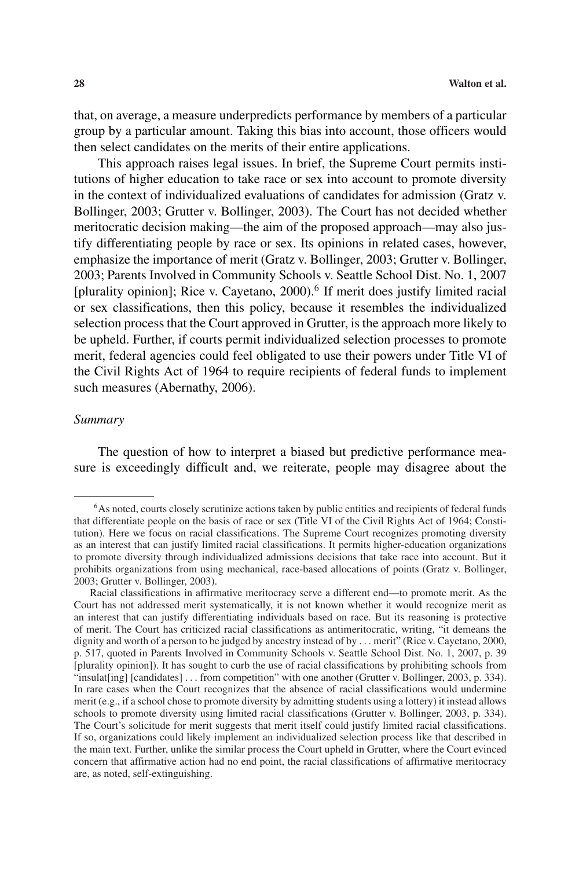that, on average, a measure underpredicts performance by members of a particular group by a particular amount. Taking this bias into account, those officers would then select candidates on the merits of their entire applications.

This approach raises legal issues. In brief, the Supreme Court permits institutions of higher education to take race or sex into account to promote diversity in the context of individualized evaluations of candidates for admission (Gratz v. Bollinger, 2003; Grutter v. Bollinger, 2003). The Court has not decided whether meritocratic decision making—the aim of the proposed approach—may also justify differentiating people by race or sex. Its opinions in related cases, however, emphasize the importance of merit (Gratz v. Bollinger, 2003; Grutter v. Bollinger, 2003; Parents Involved in Community Schools v. Seattle School Dist. No. 1, 2007 [plurality opinion]; Rice v. Cayetano, 2000).<sup>6</sup> If merit does justify limited racial or sex classifications, then this policy, because it resembles the individualized selection process that the Court approved in Grutter, is the approach more likely to be upheld. Further, if courts permit individualized selection processes to promote merit, federal agencies could feel obligated to use their powers under Title VI of the Civil Rights Act of 1964 to require recipients of federal funds to implement such measures (Abernathy, 2006).

### *Summary*

The question of how to interpret a biased but predictive performance measure is exceedingly difficult and, we reiterate, people may disagree about the

<sup>6</sup>As noted, courts closely scrutinize actions taken by public entities and recipients of federal funds that differentiate people on the basis of race or sex (Title VI of the Civil Rights Act of 1964; Constitution). Here we focus on racial classifications. The Supreme Court recognizes promoting diversity as an interest that can justify limited racial classifications. It permits higher-education organizations to promote diversity through individualized admissions decisions that take race into account. But it prohibits organizations from using mechanical, race-based allocations of points (Gratz v. Bollinger, 2003; Grutter v. Bollinger, 2003).

Racial classifications in affirmative meritocracy serve a different end—to promote merit. As the Court has not addressed merit systematically, it is not known whether it would recognize merit as an interest that can justify differentiating individuals based on race. But its reasoning is protective of merit. The Court has criticized racial classifications as antimeritocratic, writing, "it demeans the dignity and worth of a person to be judged by ancestry instead of by *...* merit" (Rice v. Cayetano, 2000, p. 517, quoted in Parents Involved in Community Schools v. Seattle School Dist. No. 1, 2007, p. 39 [plurality opinion]). It has sought to curb the use of racial classifications by prohibiting schools from "insulat[ing] [candidates] *...* from competition" with one another (Grutter v. Bollinger, 2003, p. 334). In rare cases when the Court recognizes that the absence of racial classifications would undermine merit (e.g., if a school chose to promote diversity by admitting students using a lottery) it instead allows schools to promote diversity using limited racial classifications (Grutter v. Bollinger, 2003, p. 334). The Court's solicitude for merit suggests that merit itself could justify limited racial classifications. If so, organizations could likely implement an individualized selection process like that described in the main text. Further, unlike the similar process the Court upheld in Grutter, where the Court evinced concern that affirmative action had no end point, the racial classifications of affirmative meritocracy are, as noted, self-extinguishing.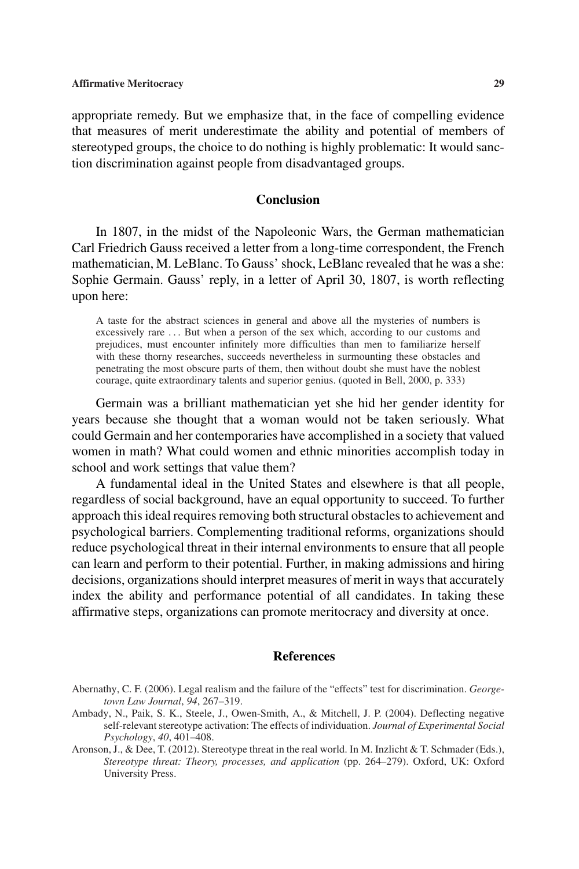appropriate remedy. But we emphasize that, in the face of compelling evidence that measures of merit underestimate the ability and potential of members of stereotyped groups, the choice to do nothing is highly problematic: It would sanction discrimination against people from disadvantaged groups.

# **Conclusion**

In 1807, in the midst of the Napoleonic Wars, the German mathematician Carl Friedrich Gauss received a letter from a long-time correspondent, the French mathematician, M. LeBlanc. To Gauss' shock, LeBlanc revealed that he was a she: Sophie Germain. Gauss' reply, in a letter of April 30, 1807, is worth reflecting upon here:

A taste for the abstract sciences in general and above all the mysteries of numbers is excessively rare *...* But when a person of the sex which, according to our customs and prejudices, must encounter infinitely more difficulties than men to familiarize herself with these thorny researches, succeeds nevertheless in surmounting these obstacles and penetrating the most obscure parts of them, then without doubt she must have the noblest courage, quite extraordinary talents and superior genius. (quoted in Bell, 2000, p. 333)

Germain was a brilliant mathematician yet she hid her gender identity for years because she thought that a woman would not be taken seriously. What could Germain and her contemporaries have accomplished in a society that valued women in math? What could women and ethnic minorities accomplish today in school and work settings that value them?

A fundamental ideal in the United States and elsewhere is that all people, regardless of social background, have an equal opportunity to succeed. To further approach this ideal requires removing both structural obstacles to achievement and psychological barriers. Complementing traditional reforms, organizations should reduce psychological threat in their internal environments to ensure that all people can learn and perform to their potential. Further, in making admissions and hiring decisions, organizations should interpret measures of merit in ways that accurately index the ability and performance potential of all candidates. In taking these affirmative steps, organizations can promote meritocracy and diversity at once.

# **References**

- Ambady, N., Paik, S. K., Steele, J., Owen-Smith, A., & Mitchell, J. P. (2004). Deflecting negative self-relevant stereotype activation: The effects of individuation. *Journal of Experimental Social Psychology*, *40*, 401–408.
- Aronson, J., & Dee, T. (2012). Stereotype threat in the real world. In M. Inzlicht & T. Schmader (Eds.), *Stereotype threat: Theory, processes, and application* (pp. 264–279). Oxford, UK: Oxford University Press.

Abernathy, C. F. (2006). Legal realism and the failure of the "effects" test for discrimination. *Georgetown Law Journal*, *94*, 267–319.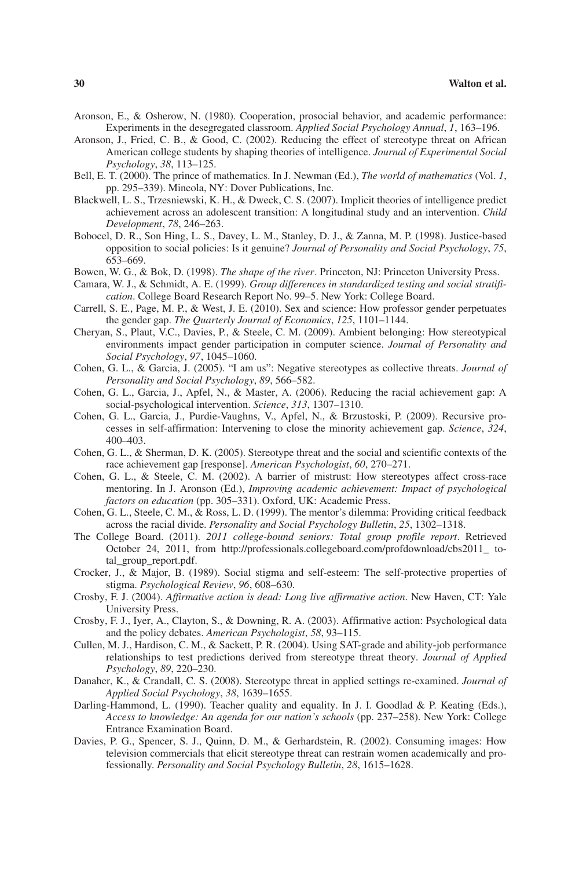- Aronson, E., & Osherow, N. (1980). Cooperation, prosocial behavior, and academic performance: Experiments in the desegregated classroom. *Applied Social Psychology Annual*, *1*, 163–196.
- Aronson, J., Fried, C. B., & Good, C. (2002). Reducing the effect of stereotype threat on African American college students by shaping theories of intelligence. *Journal of Experimental Social Psychology*, *38*, 113–125.
- Bell, E. T. (2000). The prince of mathematics. In J. Newman (Ed.), *The world of mathematics* (Vol. *1*, pp. 295–339). Mineola, NY: Dover Publications, Inc.
- Blackwell, L. S., Trzesniewski, K. H., & Dweck, C. S. (2007). Implicit theories of intelligence predict achievement across an adolescent transition: A longitudinal study and an intervention. *Child Development*, *78*, 246–263.
- Bobocel, D. R., Son Hing, L. S., Davey, L. M., Stanley, D. J., & Zanna, M. P. (1998). Justice-based opposition to social policies: Is it genuine? *Journal of Personality and Social Psychology*, *75*, 653–669.
- Bowen, W. G., & Bok, D. (1998). *The shape of the river*. Princeton, NJ: Princeton University Press.
- Camara, W. J., & Schmidt, A. E. (1999). *Group differences in standardized testing and social stratification*. College Board Research Report No. 99–5. New York: College Board.
- Carrell, S. E., Page, M. P., & West, J. E. (2010). Sex and science: How professor gender perpetuates the gender gap. *The Quarterly Journal of Economics*, *125*, 1101–1144.
- Cheryan, S., Plaut, V.C., Davies, P., & Steele, C. M. (2009). Ambient belonging: How stereotypical environments impact gender participation in computer science. *Journal of Personality and Social Psychology*, *97*, 1045–1060.
- Cohen, G. L., & Garcia, J. (2005). "I am us": Negative stereotypes as collective threats. *Journal of Personality and Social Psychology*, *89*, 566–582.
- Cohen, G. L., Garcia, J., Apfel, N., & Master, A. (2006). Reducing the racial achievement gap: A social-psychological intervention. *Science*, *313*, 1307–1310.
- Cohen, G. L., Garcia, J., Purdie-Vaughns, V., Apfel, N., & Brzustoski, P. (2009). Recursive processes in self-affirmation: Intervening to close the minority achievement gap. *Science*, *324*, 400–403.
- Cohen, G. L., & Sherman, D. K. (2005). Stereotype threat and the social and scientific contexts of the race achievement gap [response]. *American Psychologist*, *60*, 270–271.
- Cohen, G. L., & Steele, C. M. (2002). A barrier of mistrust: How stereotypes affect cross-race mentoring. In J. Aronson (Ed.), *Improving academic achievement: Impact of psychological factors on education* (pp. 305–331). Oxford, UK: Academic Press.
- Cohen, G. L., Steele, C. M., & Ross, L. D. (1999). The mentor's dilemma: Providing critical feedback across the racial divide. *Personality and Social Psychology Bulletin*, *25*, 1302–1318.
- The College Board. (2011). *2011 college-bound seniors: Total group profile report*. Retrieved October 24, 2011, from http://professionals.collegeboard.com/profdownload/cbs2011\_ total\_group\_report.pdf.
- Crocker, J., & Major, B. (1989). Social stigma and self-esteem: The self-protective properties of stigma. *Psychological Review*, *96*, 608–630.
- Crosby, F. J. (2004). *Affirmative action is dead: Long live affirmative action*. New Haven, CT: Yale University Press.
- Crosby, F. J., Iyer, A., Clayton, S., & Downing, R. A. (2003). Affirmative action: Psychological data and the policy debates. *American Psychologist*, *58*, 93–115.
- Cullen, M. J., Hardison, C. M., & Sackett, P. R. (2004). Using SAT-grade and ability-job performance relationships to test predictions derived from stereotype threat theory. *Journal of Applied Psychology*, *89*, 220–230.
- Danaher, K., & Crandall, C. S. (2008). Stereotype threat in applied settings re-examined. *Journal of Applied Social Psychology*, *38*, 1639–1655.
- Darling-Hammond, L. (1990). Teacher quality and equality. In J. I. Goodlad & P. Keating (Eds.), *Access to knowledge: An agenda for our nation's schools* (pp. 237–258). New York: College Entrance Examination Board.
- Davies, P. G., Spencer, S. J., Quinn, D. M., & Gerhardstein, R. (2002). Consuming images: How television commercials that elicit stereotype threat can restrain women academically and professionally. *Personality and Social Psychology Bulletin*, *28*, 1615–1628.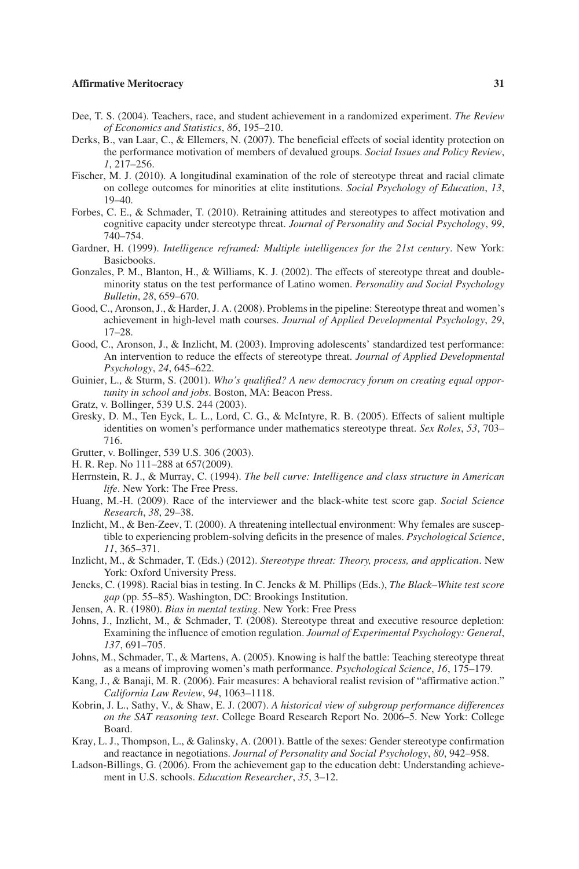- Dee, T. S. (2004). Teachers, race, and student achievement in a randomized experiment. *The Review of Economics and Statistics*, *86*, 195–210.
- Derks, B., van Laar, C., & Ellemers, N. (2007). The beneficial effects of social identity protection on the performance motivation of members of devalued groups. *Social Issues and Policy Review*, *1*, 217–256.
- Fischer, M. J. (2010). A longitudinal examination of the role of stereotype threat and racial climate on college outcomes for minorities at elite institutions. *Social Psychology of Education*, *13*, 19–40.
- Forbes, C. E., & Schmader, T. (2010). Retraining attitudes and stereotypes to affect motivation and cognitive capacity under stereotype threat. *Journal of Personality and Social Psychology*, *99*, 740–754.
- Gardner, H. (1999). *Intelligence reframed: Multiple intelligences for the 21st century*. New York: Basicbooks.
- Gonzales, P. M., Blanton, H., & Williams, K. J. (2002). The effects of stereotype threat and doubleminority status on the test performance of Latino women. *Personality and Social Psychology Bulletin*, *28*, 659–670.
- Good, C., Aronson, J., & Harder, J. A. (2008). Problems in the pipeline: Stereotype threat and women's achievement in high-level math courses. *Journal of Applied Developmental Psychology*, *29*, 17–28.
- Good, C., Aronson, J., & Inzlicht, M. (2003). Improving adolescents' standardized test performance: An intervention to reduce the effects of stereotype threat. *Journal of Applied Developmental Psychology*, *24*, 645–622.
- Guinier, L., & Sturm, S. (2001). *Who's qualified? A new democracy forum on creating equal opportunity in school and jobs*. Boston, MA: Beacon Press.
- Gratz, v. Bollinger, 539 U.S. 244 (2003).
- Gresky, D. M., Ten Eyck, L. L., Lord, C. G., & McIntyre, R. B. (2005). Effects of salient multiple identities on women's performance under mathematics stereotype threat. *Sex Roles*, *53*, 703– 716.
- Grutter, v. Bollinger, 539 U.S. 306 (2003).
- H. R. Rep. No 111–288 at 657(2009).
- Herrnstein, R. J., & Murray, C. (1994). *The bell curve: Intelligence and class structure in American life*. New York: The Free Press.
- Huang, M.-H. (2009). Race of the interviewer and the black-white test score gap. *Social Science Research*, *38*, 29–38.
- Inzlicht, M., & Ben-Zeev, T. (2000). A threatening intellectual environment: Why females are susceptible to experiencing problem-solving deficits in the presence of males. *Psychological Science*, *11*, 365–371.
- Inzlicht, M., & Schmader, T. (Eds.) (2012). *Stereotype threat: Theory, process, and application*. New York: Oxford University Press.
- Jencks, C. (1998). Racial bias in testing. In C. Jencks & M. Phillips (Eds.), *The Black–White test score gap* (pp. 55–85). Washington, DC: Brookings Institution.
- Jensen, A. R. (1980). *Bias in mental testing*. New York: Free Press
- Johns, J., Inzlicht, M., & Schmader, T. (2008). Stereotype threat and executive resource depletion: Examining the influence of emotion regulation. *Journal of Experimental Psychology: General*, *137*, 691–705.
- Johns, M., Schmader, T., & Martens, A. (2005). Knowing is half the battle: Teaching stereotype threat as a means of improving women's math performance. *Psychological Science*, *16*, 175–179.
- Kang, J., & Banaji, M. R. (2006). Fair measures: A behavioral realist revision of "affirmative action." *California Law Review*, *94*, 1063–1118.
- Kobrin, J. L., Sathy, V., & Shaw, E. J. (2007). *A historical view of subgroup performance differences on the SAT reasoning test*. College Board Research Report No. 2006–5. New York: College Board.
- Kray, L. J., Thompson, L., & Galinsky, A. (2001). Battle of the sexes: Gender stereotype confirmation and reactance in negotiations. *Journal of Personality and Social Psychology*, *80*, 942–958.
- Ladson-Billings, G. (2006). From the achievement gap to the education debt: Understanding achievement in U.S. schools. *Education Researcher*, *35*, 3–12.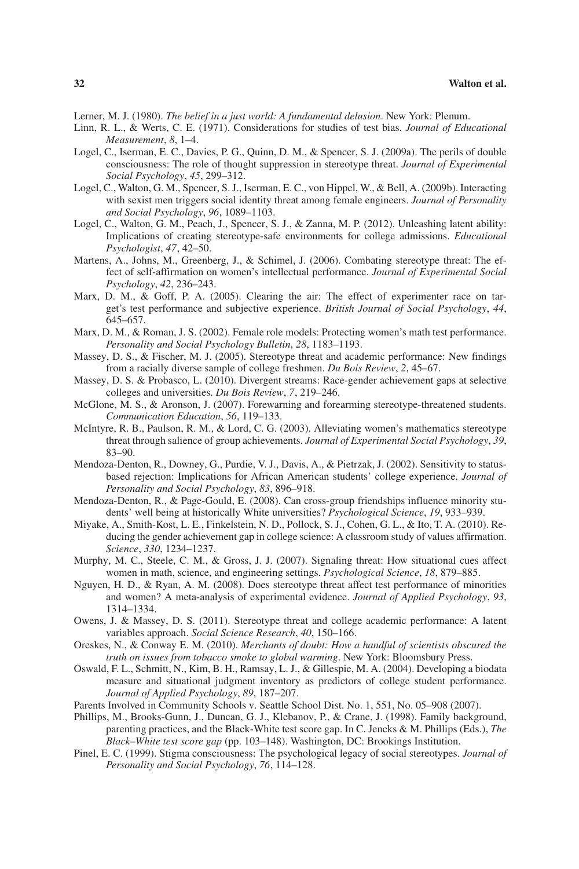- Lerner, M. J. (1980). *The belief in a just world: A fundamental delusion*. New York: Plenum.
- Linn, R. L., & Werts, C. E. (1971). Considerations for studies of test bias. *Journal of Educational Measurement*, *8*, 1–4.
- Logel, C., Iserman, E. C., Davies, P. G., Quinn, D. M., & Spencer, S. J. (2009a). The perils of double consciousness: The role of thought suppression in stereotype threat. *Journal of Experimental Social Psychology*, *45*, 299–312.
- Logel, C., Walton, G. M., Spencer, S. J., Iserman, E. C., von Hippel, W., & Bell, A. (2009b). Interacting with sexist men triggers social identity threat among female engineers. *Journal of Personality and Social Psychology*, *96*, 1089–1103.
- Logel, C., Walton, G. M., Peach, J., Spencer, S. J., & Zanna, M. P. (2012). Unleashing latent ability: Implications of creating stereotype-safe environments for college admissions. *Educational Psychologist*, *47*, 42–50.
- Martens, A., Johns, M., Greenberg, J., & Schimel, J. (2006). Combating stereotype threat: The effect of self-affirmation on women's intellectual performance. *Journal of Experimental Social Psychology*, *42*, 236–243.
- Marx, D. M., & Goff, P. A. (2005). Clearing the air: The effect of experimenter race on target's test performance and subjective experience. *British Journal of Social Psychology*, *44*, 645–657.
- Marx, D. M., & Roman, J. S. (2002). Female role models: Protecting women's math test performance. *Personality and Social Psychology Bulletin*, *28*, 1183–1193.
- Massey, D. S., & Fischer, M. J. (2005). Stereotype threat and academic performance: New findings from a racially diverse sample of college freshmen. *Du Bois Review*, *2*, 45–67.
- Massey, D. S. & Probasco, L. (2010). Divergent streams: Race-gender achievement gaps at selective colleges and universities. *Du Bois Review*, *7*, 219–246.
- McGlone, M. S., & Aronson, J. (2007). Forewarning and forearming stereotype-threatened students. *Communication Education*, *56*, 119–133.
- McIntyre, R. B., Paulson, R. M., & Lord, C. G. (2003). Alleviating women's mathematics stereotype threat through salience of group achievements. *Journal of Experimental Social Psychology*, *39*, 83–90.
- Mendoza-Denton, R., Downey, G., Purdie, V. J., Davis, A., & Pietrzak, J. (2002). Sensitivity to statusbased rejection: Implications for African American students' college experience. *Journal of Personality and Social Psychology*, *83*, 896–918.
- Mendoza-Denton, R., & Page-Gould, E. (2008). Can cross-group friendships influence minority students' well being at historically White universities? *Psychological Science*, *19*, 933–939.
- Miyake, A., Smith-Kost, L. E., Finkelstein, N. D., Pollock, S. J., Cohen, G. L., & Ito, T. A. (2010). Reducing the gender achievement gap in college science: A classroom study of values affirmation. *Science*, *330*, 1234–1237.
- Murphy, M. C., Steele, C. M., & Gross, J. J. (2007). Signaling threat: How situational cues affect women in math, science, and engineering settings. *Psychological Science*, *18*, 879–885.
- Nguyen, H. D., & Ryan, A. M. (2008). Does stereotype threat affect test performance of minorities and women? A meta-analysis of experimental evidence. *Journal of Applied Psychology*, *93*, 1314–1334.
- Owens, J. & Massey, D. S. (2011). Stereotype threat and college academic performance: A latent variables approach. *Social Science Research*, *40*, 150–166.
- Oreskes, N., & Conway E. M. (2010). *Merchants of doubt: How a handful of scientists obscured the truth on issues from tobacco smoke to global warming*. New York: Bloomsbury Press.
- Oswald, F. L., Schmitt, N., Kim, B. H., Ramsay, L. J., & Gillespie, M. A. (2004). Developing a biodata measure and situational judgment inventory as predictors of college student performance. *Journal of Applied Psychology*, *89*, 187–207.
- Parents Involved in Community Schools v. Seattle School Dist. No. 1, 551, No. 05–908 (2007).
- Phillips, M., Brooks-Gunn, J., Duncan, G. J., Klebanov, P., & Crane, J. (1998). Family background, parenting practices, and the Black-White test score gap. In C. Jencks & M. Phillips (Eds.), *The Black–White test score gap* (pp. 103–148). Washington, DC: Brookings Institution.
- Pinel, E. C. (1999). Stigma consciousness: The psychological legacy of social stereotypes. *Journal of Personality and Social Psychology*, *76*, 114–128.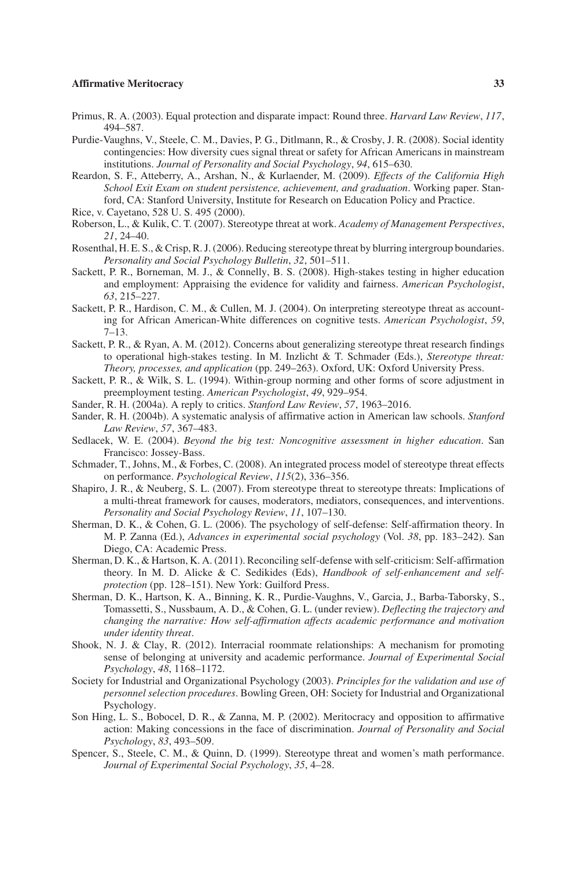- Primus, R. A. (2003). Equal protection and disparate impact: Round three. *Harvard Law Review*, *117*, 494–587.
- Purdie-Vaughns, V., Steele, C. M., Davies, P. G., Ditlmann, R., & Crosby, J. R. (2008). Social identity contingencies: How diversity cues signal threat or safety for African Americans in mainstream institutions. *Journal of Personality and Social Psychology*, *94*, 615–630.
- Reardon, S. F., Atteberry, A., Arshan, N., & Kurlaender, M. (2009). *Effects of the California High School Exit Exam on student persistence, achievement, and graduation*. Working paper. Stanford, CA: Stanford University, Institute for Research on Education Policy and Practice.

- Roberson, L., & Kulik, C. T. (2007). Stereotype threat at work. *Academy of Management Perspectives*, *21*, 24–40.
- Rosenthal, H. E. S., & Crisp, R. J. (2006). Reducing stereotype threat by blurring intergroup boundaries. *Personality and Social Psychology Bulletin*, *32*, 501–511.
- Sackett, P. R., Borneman, M. J., & Connelly, B. S. (2008). High-stakes testing in higher education and employment: Appraising the evidence for validity and fairness. *American Psychologist*, *63*, 215–227.
- Sackett, P. R., Hardison, C. M., & Cullen, M. J. (2004). On interpreting stereotype threat as accounting for African American-White differences on cognitive tests. *American Psychologist*, *59*, 7–13.
- Sackett, P. R., & Ryan, A. M. (2012). Concerns about generalizing stereotype threat research findings to operational high-stakes testing. In M. Inzlicht & T. Schmader (Eds.), *Stereotype threat: Theory, processes, and application* (pp. 249–263). Oxford, UK: Oxford University Press.
- Sackett, P. R., & Wilk, S. L. (1994). Within-group norming and other forms of score adjustment in preemployment testing. *American Psychologist*, *49*, 929–954.
- Sander, R. H. (2004a). A reply to critics. *Stanford Law Review*, *57*, 1963–2016.
- Sander, R. H. (2004b). A systematic analysis of affirmative action in American law schools. *Stanford Law Review*, *57*, 367–483.
- Sedlacek, W. E. (2004). *Beyond the big test: Noncognitive assessment in higher education*. San Francisco: Jossey-Bass.
- Schmader, T., Johns, M., & Forbes, C. (2008). An integrated process model of stereotype threat effects on performance. *Psychological Review*, *115*(2), 336–356.
- Shapiro, J. R., & Neuberg, S. L. (2007). From stereotype threat to stereotype threats: Implications of a multi-threat framework for causes, moderators, mediators, consequences, and interventions. *Personality and Social Psychology Review*, *11*, 107–130.
- Sherman, D. K., & Cohen, G. L. (2006). The psychology of self-defense: Self-affirmation theory. In M. P. Zanna (Ed.), *Advances in experimental social psychology* (Vol. *38*, pp. 183–242). San Diego, CA: Academic Press.
- Sherman, D. K., & Hartson, K. A. (2011). Reconciling self-defense with self-criticism: Self-affirmation theory. In M. D. Alicke & C. Sedikides (Eds), *Handbook of self-enhancement and selfprotection* (pp. 128–151). New York: Guilford Press.
- Sherman, D. K., Hartson, K. A., Binning, K. R., Purdie-Vaughns, V., Garcia, J., Barba-Taborsky, S., Tomassetti, S., Nussbaum, A. D., & Cohen, G. L. (under review). *Deflecting the trajectory and changing the narrative: How self-affirmation affects academic performance and motivation under identity threat*.
- Shook, N. J. & Clay, R. (2012). Interracial roommate relationships: A mechanism for promoting sense of belonging at university and academic performance. *Journal of Experimental Social Psychology*, *48*, 1168–1172.
- Society for Industrial and Organizational Psychology (2003). *Principles for the validation and use of personnel selection procedures*. Bowling Green, OH: Society for Industrial and Organizational Psychology.
- Son Hing, L. S., Bobocel, D. R., & Zanna, M. P. (2002). Meritocracy and opposition to affirmative action: Making concessions in the face of discrimination. *Journal of Personality and Social Psychology*, *83*, 493–509.
- Spencer, S., Steele, C. M., & Quinn, D. (1999). Stereotype threat and women's math performance. *Journal of Experimental Social Psychology*, *35*, 4–28.

Rice, v. Cayetano, 528 U. S. 495 (2000).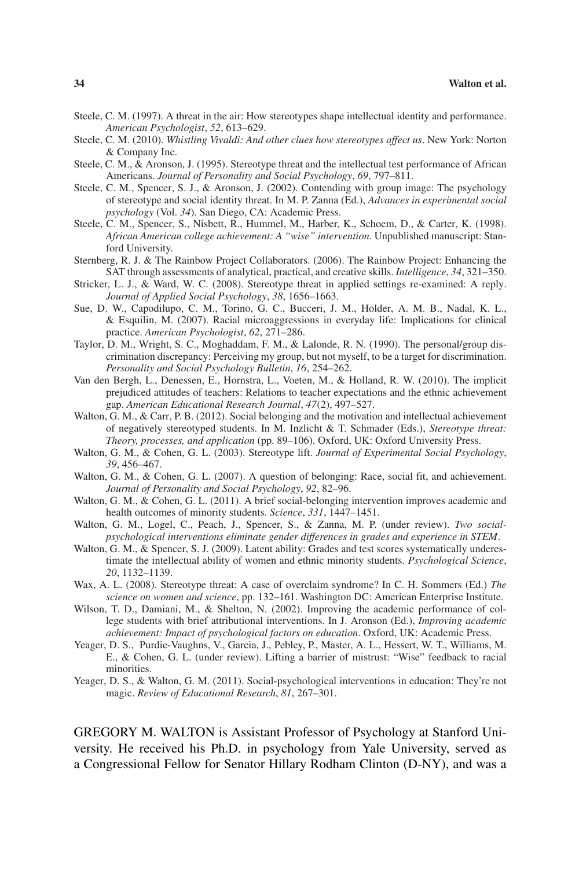- Steele, C. M. (1997). A threat in the air: How stereotypes shape intellectual identity and performance. *American Psychologist*, *52*, 613–629.
- Steele, C. M. (2010). *Whistling Vivaldi: And other clues how stereotypes affect us*. New York: Norton & Company Inc.
- Steele, C. M., & Aronson, J. (1995). Stereotype threat and the intellectual test performance of African Americans. *Journal of Personality and Social Psychology*, *69*, 797–811.
- Steele, C. M., Spencer, S. J., & Aronson, J. (2002). Contending with group image: The psychology of stereotype and social identity threat. In M. P. Zanna (Ed.), *Advances in experimental social psychology* (Vol. *34*). San Diego, CA: Academic Press.
- Steele, C. M., Spencer, S., Nisbett, R., Hummel, M., Harber, K., Schoem, D., & Carter, K. (1998). *African American college achievement: A "wise" intervention*. Unpublished manuscript: Stanford University.
- Sternberg, R. J. & The Rainbow Project Collaborators. (2006). The Rainbow Project: Enhancing the SAT through assessments of analytical, practical, and creative skills. *Intelligence*, *34*, 321–350.
- Stricker, L. J., & Ward, W. C. (2008). Stereotype threat in applied settings re-examined: A reply. *Journal of Applied Social Psychology*, *38*, 1656–1663.
- Sue, D. W., Capodilupo, C. M., Torino, G. C., Bucceri, J. M., Holder, A. M. B., Nadal, K. L., & Esquilin, M. (2007). Racial microaggressions in everyday life: Implications for clinical practice. *American Psychologist*, *62*, 271–286.
- Taylor, D. M., Wright, S. C., Moghaddam, F. M., & Lalonde, R. N. (1990). The personal/group discrimination discrepancy: Perceiving my group, but not myself, to be a target for discrimination. *Personality and Social Psychology Bulletin*, *16*, 254–262.
- Van den Bergh, L., Denessen, E., Hornstra, L., Voeten, M., & Holland, R. W. (2010). The implicit prejudiced attitudes of teachers: Relations to teacher expectations and the ethnic achievement gap. *American Educational Research Journal*, *47*(2), 497–527.
- Walton, G. M., & Carr, P. B. (2012). Social belonging and the motivation and intellectual achievement of negatively stereotyped students. In M. Inzlicht & T. Schmader (Eds.), *Stereotype threat: Theory, processes, and application* (pp. 89–106). Oxford, UK: Oxford University Press.
- Walton, G. M., & Cohen, G. L. (2003). Stereotype lift. *Journal of Experimental Social Psychology*, *39*, 456–467.
- Walton, G. M., & Cohen, G. L. (2007). A question of belonging: Race, social fit, and achievement. *Journal of Personality and Social Psychology*, *92*, 82–96.
- Walton, G. M., & Cohen, G. L. (2011). A brief social-belonging intervention improves academic and health outcomes of minority students. *Science*, *331*, 1447–1451.
- Walton, G. M., Logel, C., Peach, J., Spencer, S., & Zanna, M. P. (under review). *Two socialpsychological interventions eliminate gender differences in grades and experience in STEM*.
- Walton, G. M., & Spencer, S. J. (2009). Latent ability: Grades and test scores systematically underestimate the intellectual ability of women and ethnic minority students. *Psychological Science*, *20*, 1132–1139.
- Wax, A. L. (2008). Stereotype threat: A case of overclaim syndrome? In C. H. Sommers (Ed.) *The science on women and science*, pp. 132–161. Washington DC: American Enterprise Institute.
- Wilson, T. D., Damiani, M., & Shelton, N. (2002). Improving the academic performance of college students with brief attributional interventions. In J. Aronson (Ed.), *Improving academic achievement: Impact of psychological factors on education*. Oxford, UK: Academic Press.
- Yeager, D. S., Purdie-Vaughns, V., Garcia, J., Pebley, P., Master, A. L., Hessert, W. T., Williams, M. E., & Cohen, G. L. (under review). Lifting a barrier of mistrust: "Wise" feedback to racial minorities.
- Yeager, D. S., & Walton, G. M. (2011). Social-psychological interventions in education: They're not magic. *Review of Educational Research*, *81*, 267–301.

GREGORY M. WALTON is Assistant Professor of Psychology at Stanford University. He received his Ph.D. in psychology from Yale University, served as a Congressional Fellow for Senator Hillary Rodham Clinton (D-NY), and was a